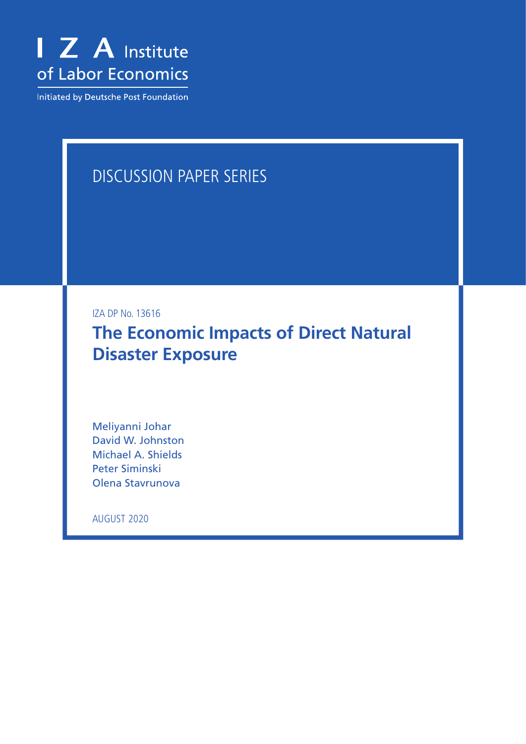

Initiated by Deutsche Post Foundation

# DISCUSSION PAPER SERIES

IZA DP No. 13616

**The Economic Impacts of Direct Natural Disaster Exposure**

Meliyanni Johar David W. Johnston Michael A. Shields Peter Siminski Olena Stavrunova

AUGUST 2020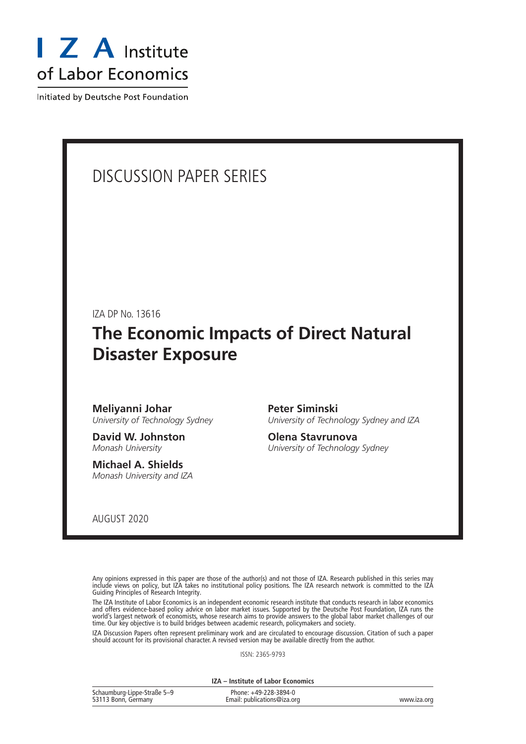

Initiated by Deutsche Post Foundation

# DISCUSSION PAPER SERIES

IZA DP No. 13616

# **The Economic Impacts of Direct Natural Disaster Exposure**

**Meliyanni Johar** *University of Technology Sydney*

**David W. Johnston** *Monash University*

**Michael A. Shields** *Monash University and IZA* **Peter Siminski** *University of Technology Sydney and IZA*

**Olena Stavrunova** *University of Technology Sydney*

AUGUST 2020

Any opinions expressed in this paper are those of the author(s) and not those of IZA. Research published in this series may include views on policy, but IZA takes no institutional policy positions. The IZA research network is committed to the IZA Guiding Principles of Research Integrity.

The IZA Institute of Labor Economics is an independent economic research institute that conducts research in labor economics and offers evidence-based policy advice on labor market issues. Supported by the Deutsche Post Foundation, IZA runs the world's largest network of economists, whose research aims to provide answers to the global labor market challenges of our time. Our key objective is to build bridges between academic research, policymakers and society.

IZA Discussion Papers often represent preliminary work and are circulated to encourage discussion. Citation of such a paper should account for its provisional character. A revised version may be available directly from the author.

ISSN: 2365-9793

**IZA – Institute of Labor Economics**

| Schaumburg-Lippe-Straße 5-9 | Phone: +49-228-3894-0       |             |
|-----------------------------|-----------------------------|-------------|
| 53113 Bonn, Germany         | Email: publications@iza.org | www.iza.org |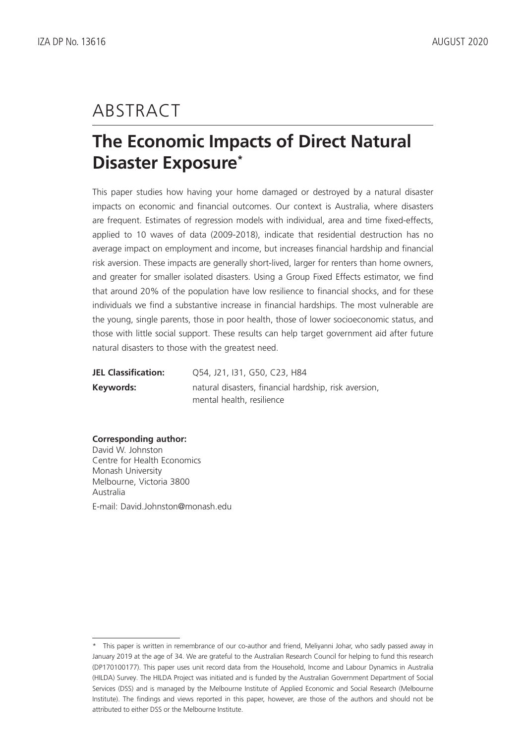# ABSTRACT

# **The Economic Impacts of Direct Natural Disaster Exposure\***

This paper studies how having your home damaged or destroyed by a natural disaster impacts on economic and financial outcomes. Our context is Australia, where disasters are frequent. Estimates of regression models with individual, area and time fixed-effects, applied to 10 waves of data (2009-2018), indicate that residential destruction has no average impact on employment and income, but increases financial hardship and financial risk aversion. These impacts are generally short-lived, larger for renters than home owners, and greater for smaller isolated disasters. Using a Group Fixed Effects estimator, we find that around 20% of the population have low resilience to financial shocks, and for these individuals we find a substantive increase in financial hardships. The most vulnerable are the young, single parents, those in poor health, those of lower socioeconomic status, and those with little social support. These results can help target government aid after future natural disasters to those with the greatest need.

| <b>JEL Classification:</b> | 054, J21, J31, G50, C23, H84                          |
|----------------------------|-------------------------------------------------------|
| Keywords:                  | natural disasters, financial hardship, risk aversion, |
|                            | mental health, resilience                             |

### **Corresponding author:**

David W. Johnston Centre for Health Economics Monash University Melbourne, Victoria 3800 Australia E-mail: David.Johnston@monash.edu

<sup>\*</sup> This paper is written in remembrance of our co-author and friend, Meliyanni Johar, who sadly passed away in January 2019 at the age of 34. We are grateful to the Australian Research Council for helping to fund this research (DP170100177). This paper uses unit record data from the Household, Income and Labour Dynamics in Australia (HILDA) Survey. The HILDA Project was initiated and is funded by the Australian Government Department of Social Services (DSS) and is managed by the Melbourne Institute of Applied Economic and Social Research (Melbourne Institute). The findings and views reported in this paper, however, are those of the authors and should not be attributed to either DSS or the Melbourne Institute.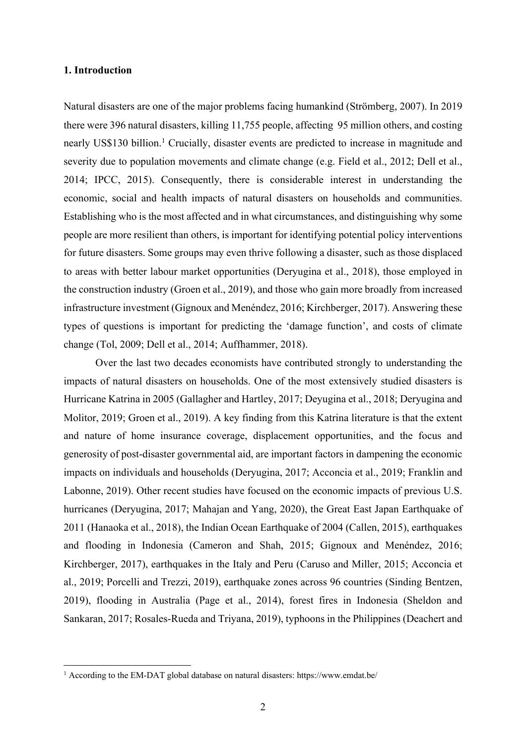# **1. Introduction**

Natural disasters are one of the major problems facing humankind (Strömberg, 2007). In 2019 there were 396 natural disasters, killing 11,755 people, affecting 95 million others, and costing nearly US\$130 billion.<sup>1</sup> Crucially, disaster events are predicted to increase in magnitude and severity due to population movements and climate change (e.g. Field et al., 2012; Dell et al., 2014; IPCC, 2015). Consequently, there is considerable interest in understanding the economic, social and health impacts of natural disasters on households and communities. Establishing who is the most affected and in what circumstances, and distinguishing why some people are more resilient than others, is important for identifying potential policy interventions for future disasters. Some groups may even thrive following a disaster, such as those displaced to areas with better labour market opportunities (Deryugina et al., 2018), those employed in the construction industry (Groen et al., 2019), and those who gain more broadly from increased infrastructure investment (Gignoux and Menéndez, 2016; Kirchberger, 2017). Answering these types of questions is important for predicting the 'damage function', and costs of climate change (Tol, 2009; Dell et al., 2014; Auffhammer, 2018).

Over the last two decades economists have contributed strongly to understanding the impacts of natural disasters on households. One of the most extensively studied disasters is Hurricane Katrina in 2005 (Gallagher and Hartley, 2017; Deyugina et al., 2018; Deryugina and Molitor, 2019; Groen et al., 2019). A key finding from this Katrina literature is that the extent and nature of home insurance coverage, displacement opportunities, and the focus and generosity of post-disaster governmental aid, are important factors in dampening the economic impacts on individuals and households (Deryugina, 2017; Acconcia et al., 2019; Franklin and Labonne, 2019). Other recent studies have focused on the economic impacts of previous U.S. hurricanes (Deryugina, 2017; Mahajan and Yang, 2020), the Great East Japan Earthquake of 2011 (Hanaoka et al., 2018), the Indian Ocean Earthquake of 2004 (Callen, 2015), earthquakes and flooding in Indonesia (Cameron and Shah, 2015; Gignoux and Menéndez, 2016; Kirchberger, 2017), earthquakes in the Italy and Peru (Caruso and Miller, 2015; Acconcia et al., 2019; Porcelli and Trezzi, 2019), earthquake zones across 96 countries (Sinding Bentzen, 2019), flooding in Australia (Page et al., 2014), forest fires in Indonesia (Sheldon and Sankaran, 2017; Rosales-Rueda and Triyana, 2019), typhoons in the Philippines (Deachert and

<sup>1</sup> According to the EM-DAT global database on natural disasters: https://www.emdat.be/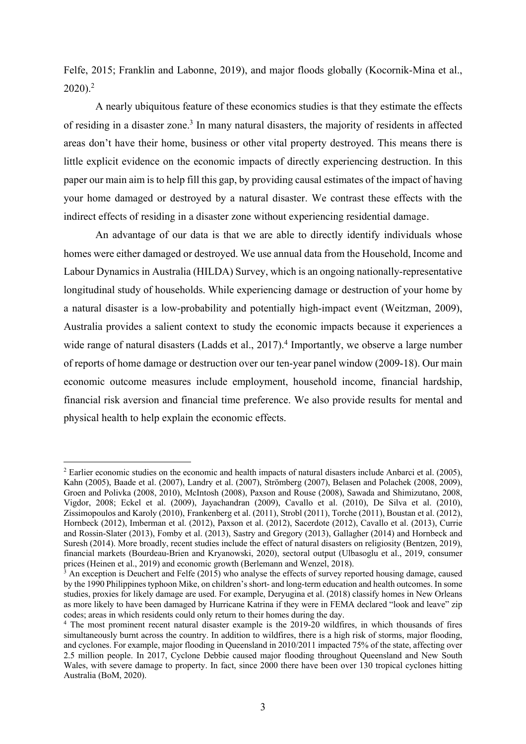Felfe, 2015; Franklin and Labonne, 2019), and major floods globally (Kocornik-Mina et al., 2020).2

A nearly ubiquitous feature of these economics studies is that they estimate the effects of residing in a disaster zone.<sup>3</sup> In many natural disasters, the majority of residents in affected areas don't have their home, business or other vital property destroyed. This means there is little explicit evidence on the economic impacts of directly experiencing destruction. In this paper our main aim is to help fill this gap, by providing causal estimates of the impact of having your home damaged or destroyed by a natural disaster. We contrast these effects with the indirect effects of residing in a disaster zone without experiencing residential damage.

An advantage of our data is that we are able to directly identify individuals whose homes were either damaged or destroyed. We use annual data from the Household, Income and Labour Dynamics in Australia (HILDA) Survey, which is an ongoing nationally-representative longitudinal study of households. While experiencing damage or destruction of your home by a natural disaster is a low-probability and potentially high-impact event (Weitzman, 2009), Australia provides a salient context to study the economic impacts because it experiences a wide range of natural disasters (Ladds et al., 2017).<sup>4</sup> Importantly, we observe a large number of reports of home damage or destruction over our ten-year panel window (2009-18). Our main economic outcome measures include employment, household income, financial hardship, financial risk aversion and financial time preference. We also provide results for mental and physical health to help explain the economic effects.

<sup>&</sup>lt;sup>2</sup> Earlier economic studies on the economic and health impacts of natural disasters include Anbarci et al. (2005), Kahn (2005), Baade et al. (2007), Landry et al. (2007), Strömberg (2007), Belasen and Polachek (2008, 2009), Groen and Polivka (2008, 2010), McIntosh (2008), Paxson and Rouse (2008), Sawada and Shimizutano, 2008, Vigdor, 2008; Eckel et al. (2009), Jayachandran (2009), Cavallo et al. (2010), De Silva et al. (2010), Zissimopoulos and Karoly (2010), Frankenberg et al. (2011), Strobl (2011), Torche (2011), Boustan et al. (2012), Hornbeck (2012), Imberman et al. (2012), Paxson et al. (2012), Sacerdote (2012), Cavallo et al. (2013), Currie and Rossin-Slater (2013), Fomby et al. (2013), Sastry and Gregory (2013), Gallagher (2014) and Hornbeck and Suresh (2014). More broadly, recent studies include the effect of natural disasters on religiosity (Bentzen, 2019), financial markets (Bourdeau-Brien and Kryanowski, 2020), sectoral output (Ulbasoglu et al., 2019, consumer prices (Heinen et al., 2019) and economic growth (Berlemann and Wenzel, 2018).

<sup>&</sup>lt;sup>3</sup> An exception is Deuchert and Felfe (2015) who analyse the effects of survey reported housing damage, caused by the 1990 Philippines typhoon Mike, on children's short- and long-term education and health outcomes. In some studies, proxies for likely damage are used. For example, Deryugina et al. (2018) classify homes in New Orleans as more likely to have been damaged by Hurricane Katrina if they were in FEMA declared "look and leave" zip codes; areas in which residents could only return to their homes during the day.

<sup>4</sup> The most prominent recent natural disaster example is the 2019-20 wildfires, in which thousands of fires simultaneously burnt across the country. In addition to wildfires, there is a high risk of storms, major flooding, and cyclones. For example, major flooding in Queensland in 2010/2011 impacted 75% of the state, affecting over 2.5 million people. In 2017, Cyclone Debbie caused major flooding throughout Queensland and New South Wales, with severe damage to property. In fact, since 2000 there have been over 130 tropical cyclones hitting Australia (BoM, 2020).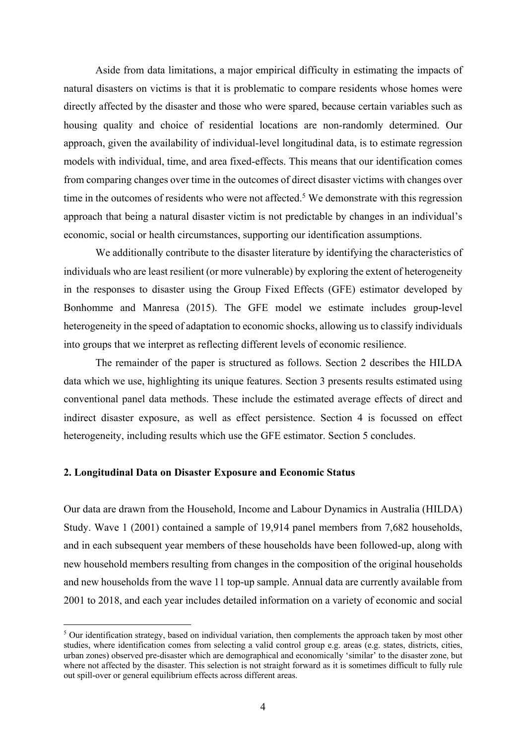Aside from data limitations, a major empirical difficulty in estimating the impacts of natural disasters on victims is that it is problematic to compare residents whose homes were directly affected by the disaster and those who were spared, because certain variables such as housing quality and choice of residential locations are non-randomly determined. Our approach, given the availability of individual-level longitudinal data, is to estimate regression models with individual, time, and area fixed-effects. This means that our identification comes from comparing changes over time in the outcomes of direct disaster victims with changes over time in the outcomes of residents who were not affected.<sup>5</sup> We demonstrate with this regression approach that being a natural disaster victim is not predictable by changes in an individual's economic, social or health circumstances, supporting our identification assumptions.

We additionally contribute to the disaster literature by identifying the characteristics of individuals who are least resilient (or more vulnerable) by exploring the extent of heterogeneity in the responses to disaster using the Group Fixed Effects (GFE) estimator developed by Bonhomme and Manresa (2015). The GFE model we estimate includes group-level heterogeneity in the speed of adaptation to economic shocks, allowing us to classify individuals into groups that we interpret as reflecting different levels of economic resilience.

The remainder of the paper is structured as follows. Section 2 describes the HILDA data which we use, highlighting its unique features. Section 3 presents results estimated using conventional panel data methods. These include the estimated average effects of direct and indirect disaster exposure, as well as effect persistence. Section 4 is focussed on effect heterogeneity, including results which use the GFE estimator. Section 5 concludes.

# **2. Longitudinal Data on Disaster Exposure and Economic Status**

Our data are drawn from the Household, Income and Labour Dynamics in Australia (HILDA) Study. Wave 1 (2001) contained a sample of 19,914 panel members from 7,682 households, and in each subsequent year members of these households have been followed-up, along with new household members resulting from changes in the composition of the original households and new households from the wave 11 top-up sample. Annual data are currently available from 2001 to 2018, and each year includes detailed information on a variety of economic and social

 $<sup>5</sup>$  Our identification strategy, based on individual variation, then complements the approach taken by most other</sup> studies, where identification comes from selecting a valid control group e.g. areas (e.g. states, districts, cities, urban zones) observed pre-disaster which are demographical and economically 'similar' to the disaster zone, but where not affected by the disaster. This selection is not straight forward as it is sometimes difficult to fully rule out spill-over or general equilibrium effects across different areas.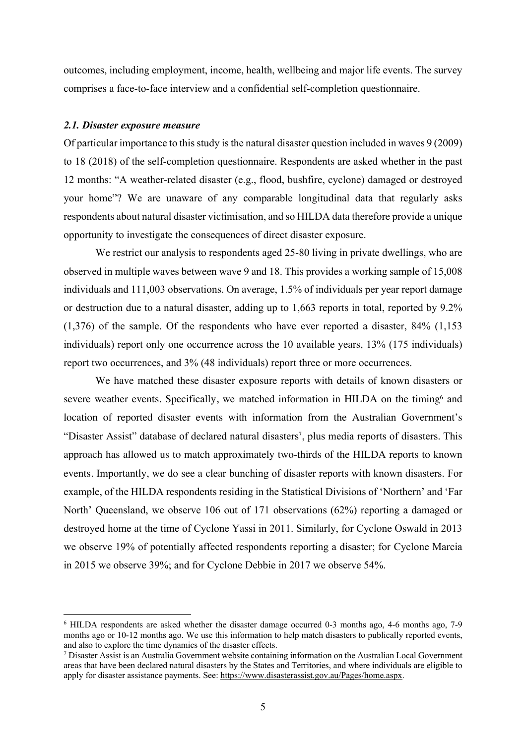outcomes, including employment, income, health, wellbeing and major life events. The survey comprises a face-to-face interview and a confidential self-completion questionnaire.

# *2.1. Disaster exposure measure*

Of particular importance to this study is the natural disaster question included in waves 9 (2009) to 18 (2018) of the self-completion questionnaire. Respondents are asked whether in the past 12 months: "A weather-related disaster (e.g., flood, bushfire, cyclone) damaged or destroyed your home"? We are unaware of any comparable longitudinal data that regularly asks respondents about natural disaster victimisation, and so HILDA data therefore provide a unique opportunity to investigate the consequences of direct disaster exposure.

We restrict our analysis to respondents aged 25-80 living in private dwellings, who are observed in multiple waves between wave 9 and 18. This provides a working sample of 15,008 individuals and 111,003 observations. On average, 1.5% of individuals per year report damage or destruction due to a natural disaster, adding up to 1,663 reports in total, reported by 9.2% (1,376) of the sample. Of the respondents who have ever reported a disaster, 84% (1,153 individuals) report only one occurrence across the 10 available years, 13% (175 individuals) report two occurrences, and 3% (48 individuals) report three or more occurrences.

We have matched these disaster exposure reports with details of known disasters or severe weather events. Specifically, we matched information in HILDA on the timing<sup>6</sup> and location of reported disaster events with information from the Australian Government's "Disaster Assist" database of declared natural disasters<sup>7</sup>, plus media reports of disasters. This approach has allowed us to match approximately two-thirds of the HILDA reports to known events. Importantly, we do see a clear bunching of disaster reports with known disasters. For example, of the HILDA respondents residing in the Statistical Divisions of 'Northern' and 'Far North' Queensland, we observe 106 out of 171 observations (62%) reporting a damaged or destroyed home at the time of Cyclone Yassi in 2011. Similarly, for Cyclone Oswald in 2013 we observe 19% of potentially affected respondents reporting a disaster; for Cyclone Marcia in 2015 we observe 39%; and for Cyclone Debbie in 2017 we observe 54%.

<sup>6</sup> HILDA respondents are asked whether the disaster damage occurred 0-3 months ago, 4-6 months ago, 7-9 months ago or 10-12 months ago. We use this information to help match disasters to publically reported events, and also to explore the time dynamics of the disaster effects.

<sup>7</sup> Disaster Assist is an Australia Government website containing information on the Australian Local Government areas that have been declared natural disasters by the States and Territories, and where individuals are eligible to apply for disaster assistance payments. See: https://www.disasterassist.gov.au/Pages/home.aspx.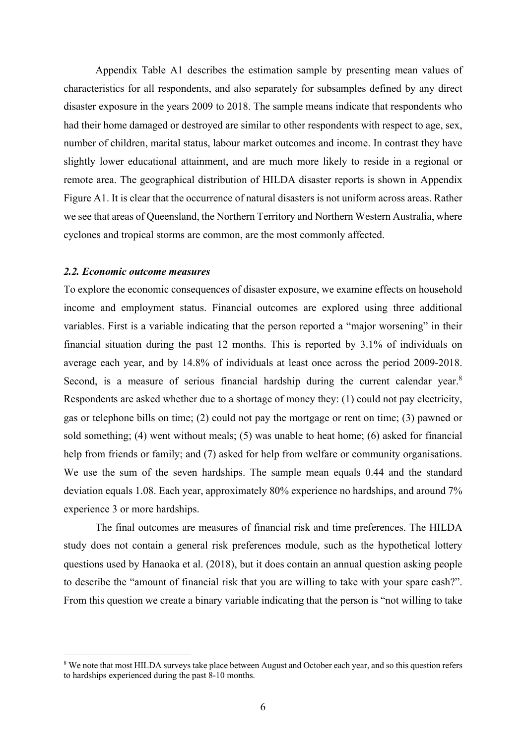Appendix Table A1 describes the estimation sample by presenting mean values of characteristics for all respondents, and also separately for subsamples defined by any direct disaster exposure in the years 2009 to 2018. The sample means indicate that respondents who had their home damaged or destroyed are similar to other respondents with respect to age, sex, number of children, marital status, labour market outcomes and income. In contrast they have slightly lower educational attainment, and are much more likely to reside in a regional or remote area. The geographical distribution of HILDA disaster reports is shown in Appendix Figure A1. It is clear that the occurrence of natural disasters is not uniform across areas. Rather we see that areas of Queensland, the Northern Territory and Northern Western Australia, where cyclones and tropical storms are common, are the most commonly affected.

#### *2.2. Economic outcome measures*

To explore the economic consequences of disaster exposure, we examine effects on household income and employment status. Financial outcomes are explored using three additional variables. First is a variable indicating that the person reported a "major worsening" in their financial situation during the past 12 months. This is reported by 3.1% of individuals on average each year, and by 14.8% of individuals at least once across the period 2009-2018. Second, is a measure of serious financial hardship during the current calendar year.<sup>8</sup> Respondents are asked whether due to a shortage of money they: (1) could not pay electricity, gas or telephone bills on time; (2) could not pay the mortgage or rent on time; (3) pawned or sold something; (4) went without meals; (5) was unable to heat home; (6) asked for financial help from friends or family; and (7) asked for help from welfare or community organisations. We use the sum of the seven hardships. The sample mean equals 0.44 and the standard deviation equals 1.08. Each year, approximately 80% experience no hardships, and around 7% experience 3 or more hardships.

The final outcomes are measures of financial risk and time preferences. The HILDA study does not contain a general risk preferences module, such as the hypothetical lottery questions used by Hanaoka et al. (2018), but it does contain an annual question asking people to describe the "amount of financial risk that you are willing to take with your spare cash?". From this question we create a binary variable indicating that the person is "not willing to take

<sup>&</sup>lt;sup>8</sup> We note that most HILDA surveys take place between August and October each year, and so this question refers to hardships experienced during the past 8-10 months.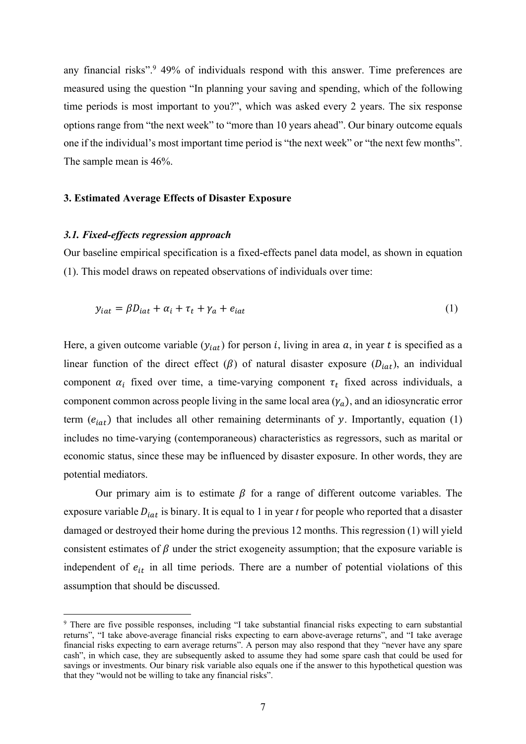any financial risks".<sup>9</sup> 49% of individuals respond with this answer. Time preferences are measured using the question "In planning your saving and spending, which of the following time periods is most important to you?", which was asked every 2 years. The six response options range from "the next week" to "more than 10 years ahead". Our binary outcome equals one if the individual's most important time period is "the next week" or "the next few months". The sample mean is 46%.

# **3. Estimated Average Effects of Disaster Exposure**

## *3.1. Fixed-effects regression approach*

Our baseline empirical specification is a fixed-effects panel data model, as shown in equation (1). This model draws on repeated observations of individuals over time:

$$
y_{iat} = \beta D_{iat} + \alpha_i + \tau_t + \gamma_a + e_{iat}
$$
 (1)

Here, a given outcome variable  $(y<sub>iat</sub>)$  for person *i*, living in area *a*, in year *t* is specified as a linear function of the direct effect ( $\beta$ ) of natural disaster exposure ( $D_{iat}$ ), an individual component  $\alpha_i$  fixed over time, a time-varying component  $\tau_t$  fixed across individuals, a component common across people living in the same local area  $(\gamma_a)$ , and an idiosyncratic error term  $(e_{i}$ ) that includes all other remaining determinants of y. Importantly, equation (1) includes no time-varying (contemporaneous) characteristics as regressors, such as marital or economic status, since these may be influenced by disaster exposure. In other words, they are potential mediators.

Our primary aim is to estimate  $\beta$  for a range of different outcome variables. The exposure variable  $D_{iat}$  is binary. It is equal to 1 in year  $t$  for people who reported that a disaster damaged or destroyed their home during the previous 12 months. This regression (1) will yield consistent estimates of  $\beta$  under the strict exogeneity assumption; that the exposure variable is independent of  $e_{it}$  in all time periods. There are a number of potential violations of this assumption that should be discussed.

<sup>9</sup> There are five possible responses, including "I take substantial financial risks expecting to earn substantial returns", "I take above-average financial risks expecting to earn above-average returns", and "I take average financial risks expecting to earn average returns". A person may also respond that they "never have any spare cash", in which case, they are subsequently asked to assume they had some spare cash that could be used for savings or investments. Our binary risk variable also equals one if the answer to this hypothetical question was that they "would not be willing to take any financial risks".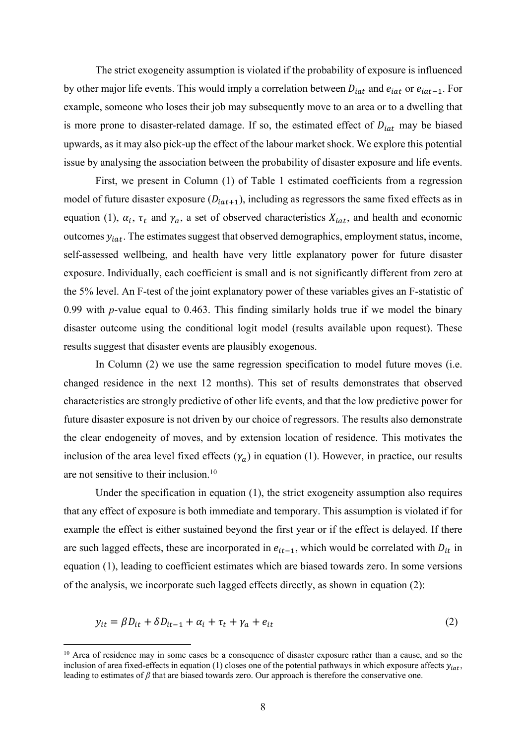The strict exogeneity assumption is violated if the probability of exposure is influenced by other major life events. This would imply a correlation between  $D_{iat}$  and  $e_{iat}$  or  $e_{iat-1}$ . For example, someone who loses their job may subsequently move to an area or to a dwelling that is more prone to disaster-related damage. If so, the estimated effect of  $D_{iat}$  may be biased upwards, as it may also pick-up the effect of the labour market shock. We explore this potential issue by analysing the association between the probability of disaster exposure and life events.

First, we present in Column (1) of Table 1 estimated coefficients from a regression model of future disaster exposure  $(D_{iat+1})$ , including as regressors the same fixed effects as in equation (1),  $\alpha_i$ ,  $\tau_t$  and  $\gamma_a$ , a set of observed characteristics  $X_{iat}$ , and health and economic outcomes  $y_{iat}$ . The estimates suggest that observed demographics, employment status, income, self-assessed wellbeing, and health have very little explanatory power for future disaster exposure. Individually, each coefficient is small and is not significantly different from zero at the 5% level. An F-test of the joint explanatory power of these variables gives an F-statistic of 0.99 with *p*-value equal to 0.463. This finding similarly holds true if we model the binary disaster outcome using the conditional logit model (results available upon request). These results suggest that disaster events are plausibly exogenous.

In Column (2) we use the same regression specification to model future moves (i.e. changed residence in the next 12 months). This set of results demonstrates that observed characteristics are strongly predictive of other life events, and that the low predictive power for future disaster exposure is not driven by our choice of regressors. The results also demonstrate the clear endogeneity of moves, and by extension location of residence. This motivates the inclusion of the area level fixed effects  $(\gamma_a)$  in equation (1). However, in practice, our results are not sensitive to their inclusion. 10

Under the specification in equation (1), the strict exogeneity assumption also requires that any effect of exposure is both immediate and temporary. This assumption is violated if for example the effect is either sustained beyond the first year or if the effect is delayed. If there are such lagged effects, these are incorporated in  $e_{it-1}$ , which would be correlated with  $D_{it}$  in equation (1), leading to coefficient estimates which are biased towards zero. In some versions of the analysis, we incorporate such lagged effects directly, as shown in equation (2):

$$
y_{it} = \beta D_{it} + \delta D_{it-1} + \alpha_i + \tau_t + \gamma_a + e_{it}
$$
 (2)

<sup>&</sup>lt;sup>10</sup> Area of residence may in some cases be a consequence of disaster exposure rather than a cause, and so the inclusion of area fixed-effects in equation (1) closes one of the potential pathways in which exposure affects  $y_{int}$ , leading to estimates of *β* that are biased towards zero. Our approach is therefore the conservative one.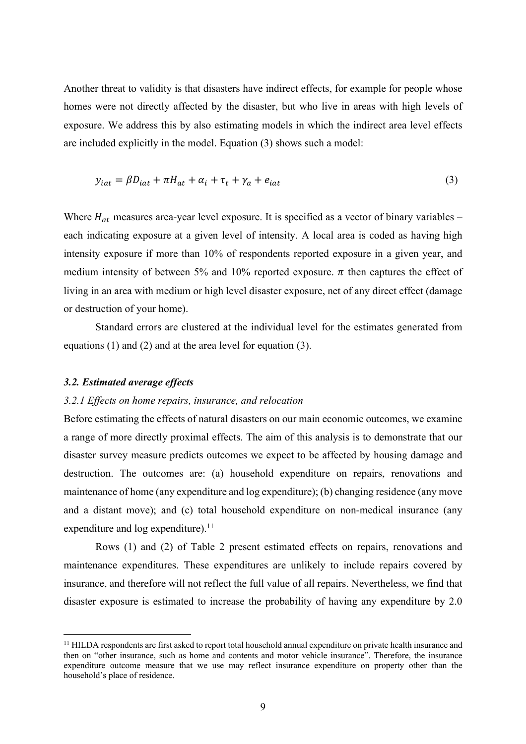Another threat to validity is that disasters have indirect effects, for example for people whose homes were not directly affected by the disaster, but who live in areas with high levels of exposure. We address this by also estimating models in which the indirect area level effects are included explicitly in the model. Equation (3) shows such a model:

$$
y_{iat} = \beta D_{iat} + \pi H_{at} + \alpha_i + \tau_t + \gamma_a + e_{iat}
$$
\n<sup>(3)</sup>

Where  $H_{at}$  measures area-year level exposure. It is specified as a vector of binary variables – each indicating exposure at a given level of intensity. A local area is coded as having high intensity exposure if more than 10% of respondents reported exposure in a given year, and medium intensity of between 5% and 10% reported exposure.  $\pi$  then captures the effect of living in an area with medium or high level disaster exposure, net of any direct effect (damage or destruction of your home).

Standard errors are clustered at the individual level for the estimates generated from equations (1) and (2) and at the area level for equation (3).

# *3.2. Estimated average effects*

# *3.2.1 Effects on home repairs, insurance, and relocation*

Before estimating the effects of natural disasters on our main economic outcomes, we examine a range of more directly proximal effects. The aim of this analysis is to demonstrate that our disaster survey measure predicts outcomes we expect to be affected by housing damage and destruction. The outcomes are: (a) household expenditure on repairs, renovations and maintenance of home (any expenditure and log expenditure); (b) changing residence (any move and a distant move); and (c) total household expenditure on non-medical insurance (any expenditure and log expenditure).<sup>11</sup>

Rows (1) and (2) of Table 2 present estimated effects on repairs, renovations and maintenance expenditures. These expenditures are unlikely to include repairs covered by insurance, and therefore will not reflect the full value of all repairs. Nevertheless, we find that disaster exposure is estimated to increase the probability of having any expenditure by 2.0

<sup>11</sup> HILDA respondents are first asked to report total household annual expenditure on private health insurance and then on "other insurance, such as home and contents and motor vehicle insurance". Therefore, the insurance expenditure outcome measure that we use may reflect insurance expenditure on property other than the household's place of residence.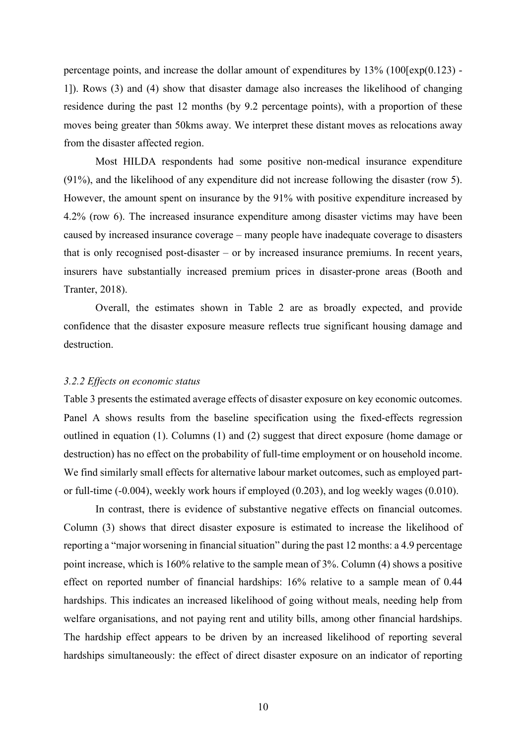percentage points, and increase the dollar amount of expenditures by  $13\%$  (100 [exp(0.123) -1]). Rows (3) and (4) show that disaster damage also increases the likelihood of changing residence during the past 12 months (by 9.2 percentage points), with a proportion of these moves being greater than 50kms away. We interpret these distant moves as relocations away from the disaster affected region.

Most HILDA respondents had some positive non-medical insurance expenditure (91%), and the likelihood of any expenditure did not increase following the disaster (row 5). However, the amount spent on insurance by the 91% with positive expenditure increased by 4.2% (row 6). The increased insurance expenditure among disaster victims may have been caused by increased insurance coverage – many people have inadequate coverage to disasters that is only recognised post-disaster – or by increased insurance premiums. In recent years, insurers have substantially increased premium prices in disaster-prone areas (Booth and Tranter, 2018).

Overall, the estimates shown in Table 2 are as broadly expected, and provide confidence that the disaster exposure measure reflects true significant housing damage and destruction.

### *3.2.2 Effects on economic status*

Table 3 presents the estimated average effects of disaster exposure on key economic outcomes. Panel A shows results from the baseline specification using the fixed-effects regression outlined in equation (1). Columns (1) and (2) suggest that direct exposure (home damage or destruction) has no effect on the probability of full-time employment or on household income. We find similarly small effects for alternative labour market outcomes, such as employed partor full-time (-0.004), weekly work hours if employed (0.203), and log weekly wages (0.010).

In contrast, there is evidence of substantive negative effects on financial outcomes. Column (3) shows that direct disaster exposure is estimated to increase the likelihood of reporting a "major worsening in financial situation" during the past 12 months: a 4.9 percentage point increase, which is 160% relative to the sample mean of 3%. Column (4) shows a positive effect on reported number of financial hardships: 16% relative to a sample mean of 0.44 hardships. This indicates an increased likelihood of going without meals, needing help from welfare organisations, and not paying rent and utility bills, among other financial hardships. The hardship effect appears to be driven by an increased likelihood of reporting several hardships simultaneously: the effect of direct disaster exposure on an indicator of reporting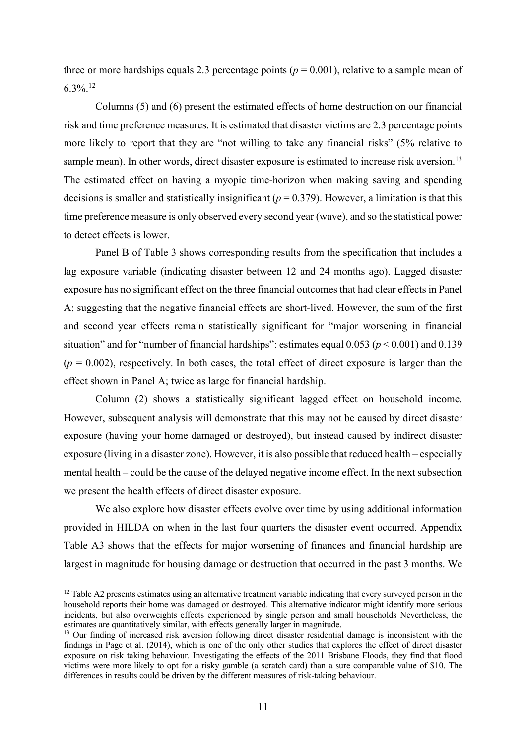three or more hardships equals 2.3 percentage points ( $p = 0.001$ ), relative to a sample mean of  $6.3\%$ <sup>12</sup>

Columns (5) and (6) present the estimated effects of home destruction on our financial risk and time preference measures. It is estimated that disaster victims are 2.3 percentage points more likely to report that they are "not willing to take any financial risks" (5% relative to sample mean). In other words, direct disaster exposure is estimated to increase risk aversion.<sup>13</sup> The estimated effect on having a myopic time-horizon when making saving and spending decisions is smaller and statistically insignificant ( $p = 0.379$ ). However, a limitation is that this time preference measure is only observed every second year (wave), and so the statistical power to detect effects is lower.

Panel B of Table 3 shows corresponding results from the specification that includes a lag exposure variable (indicating disaster between 12 and 24 months ago). Lagged disaster exposure has no significant effect on the three financial outcomes that had clear effects in Panel A; suggesting that the negative financial effects are short-lived. However, the sum of the first and second year effects remain statistically significant for "major worsening in financial situation" and for "number of financial hardships": estimates equal 0.053 (*p* < 0.001) and 0.139  $(p = 0.002)$ , respectively. In both cases, the total effect of direct exposure is larger than the effect shown in Panel A; twice as large for financial hardship.

Column (2) shows a statistically significant lagged effect on household income. However, subsequent analysis will demonstrate that this may not be caused by direct disaster exposure (having your home damaged or destroyed), but instead caused by indirect disaster exposure (living in a disaster zone). However, it is also possible that reduced health – especially mental health – could be the cause of the delayed negative income effect. In the next subsection we present the health effects of direct disaster exposure.

We also explore how disaster effects evolve over time by using additional information provided in HILDA on when in the last four quarters the disaster event occurred. Appendix Table A3 shows that the effects for major worsening of finances and financial hardship are largest in magnitude for housing damage or destruction that occurred in the past 3 months. We

<sup>&</sup>lt;sup>12</sup> Table A2 presents estimates using an alternative treatment variable indicating that every surveyed person in the household reports their home was damaged or destroyed. This alternative indicator might identify more serious incidents, but also overweights effects experienced by single person and small households Nevertheless, the estimates are quantitatively similar, with effects generally larger in magnitude.

<sup>&</sup>lt;sup>13</sup> Our finding of increased risk aversion following direct disaster residential damage is inconsistent with the findings in Page et al. (2014), which is one of the only other studies that explores the effect of direct disaster exposure on risk taking behaviour. Investigating the effects of the 2011 Brisbane Floods, they find that flood victims were more likely to opt for a risky gamble (a scratch card) than a sure comparable value of \$10. The differences in results could be driven by the different measures of risk-taking behaviour.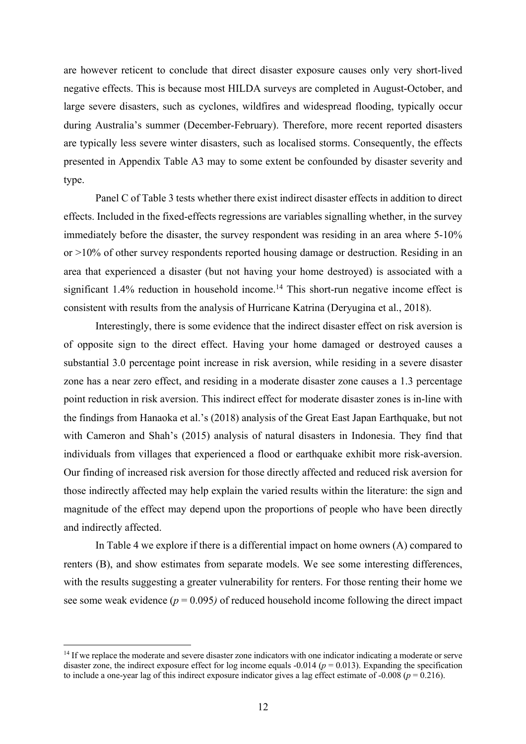are however reticent to conclude that direct disaster exposure causes only very short-lived negative effects. This is because most HILDA surveys are completed in August-October, and large severe disasters, such as cyclones, wildfires and widespread flooding, typically occur during Australia's summer (December-February). Therefore, more recent reported disasters are typically less severe winter disasters, such as localised storms. Consequently, the effects presented in Appendix Table A3 may to some extent be confounded by disaster severity and type.

Panel C of Table 3 tests whether there exist indirect disaster effects in addition to direct effects. Included in the fixed-effects regressions are variables signalling whether, in the survey immediately before the disaster, the survey respondent was residing in an area where 5-10% or >10% of other survey respondents reported housing damage or destruction. Residing in an area that experienced a disaster (but not having your home destroyed) is associated with a significant 1.4% reduction in household income.<sup>14</sup> This short-run negative income effect is consistent with results from the analysis of Hurricane Katrina (Deryugina et al., 2018).

Interestingly, there is some evidence that the indirect disaster effect on risk aversion is of opposite sign to the direct effect. Having your home damaged or destroyed causes a substantial 3.0 percentage point increase in risk aversion, while residing in a severe disaster zone has a near zero effect, and residing in a moderate disaster zone causes a 1.3 percentage point reduction in risk aversion. This indirect effect for moderate disaster zones is in-line with the findings from Hanaoka et al.'s (2018) analysis of the Great East Japan Earthquake, but not with Cameron and Shah's (2015) analysis of natural disasters in Indonesia. They find that individuals from villages that experienced a flood or earthquake exhibit more risk-aversion. Our finding of increased risk aversion for those directly affected and reduced risk aversion for those indirectly affected may help explain the varied results within the literature: the sign and magnitude of the effect may depend upon the proportions of people who have been directly and indirectly affected.

In Table 4 we explore if there is a differential impact on home owners (A) compared to renters (B), and show estimates from separate models. We see some interesting differences, with the results suggesting a greater vulnerability for renters. For those renting their home we see some weak evidence ( $p = 0.095$ ) of reduced household income following the direct impact

<sup>&</sup>lt;sup>14</sup> If we replace the moderate and severe disaster zone indicators with one indicator indicating a moderate or serve disaster zone, the indirect exposure effect for log income equals  $-0.014$  ( $p = 0.013$ ). Expanding the specification to include a one-year lag of this indirect exposure indicator gives a lag effect estimate of -0.008 ( $p = 0.216$ ).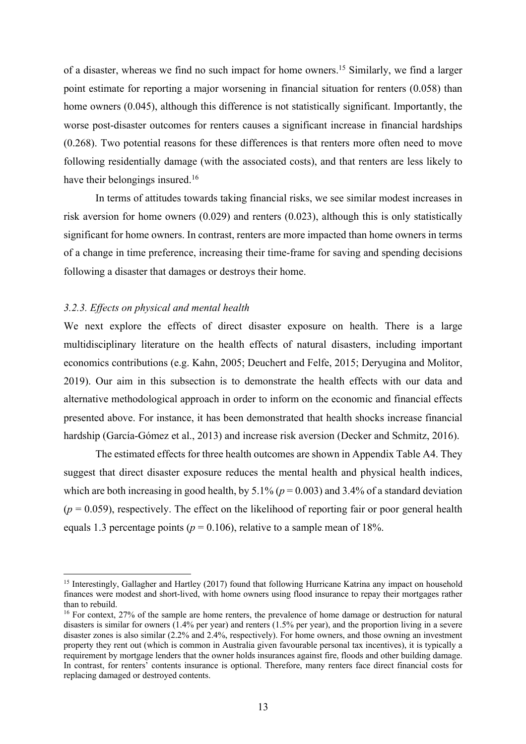of a disaster, whereas we find no such impact for home owners.15 Similarly, we find a larger point estimate for reporting a major worsening in financial situation for renters (0.058) than home owners (0.045), although this difference is not statistically significant. Importantly, the worse post-disaster outcomes for renters causes a significant increase in financial hardships (0.268). Two potential reasons for these differences is that renters more often need to move following residentially damage (with the associated costs), and that renters are less likely to have their belongings insured.<sup>16</sup>

In terms of attitudes towards taking financial risks, we see similar modest increases in risk aversion for home owners (0.029) and renters (0.023), although this is only statistically significant for home owners. In contrast, renters are more impacted than home owners in terms of a change in time preference, increasing their time-frame for saving and spending decisions following a disaster that damages or destroys their home.

# *3.2.3. Effects on physical and mental health*

We next explore the effects of direct disaster exposure on health. There is a large multidisciplinary literature on the health effects of natural disasters, including important economics contributions (e.g. Kahn, 2005; Deuchert and Felfe, 2015; Deryugina and Molitor, 2019). Our aim in this subsection is to demonstrate the health effects with our data and alternative methodological approach in order to inform on the economic and financial effects presented above. For instance, it has been demonstrated that health shocks increase financial hardship (García-Gómez et al., 2013) and increase risk aversion (Decker and Schmitz, 2016).

The estimated effects for three health outcomes are shown in Appendix Table A4. They suggest that direct disaster exposure reduces the mental health and physical health indices, which are both increasing in good health, by  $5.1\%$  ( $p = 0.003$ ) and  $3.4\%$  of a standard deviation  $(p = 0.059)$ , respectively. The effect on the likelihood of reporting fair or poor general health equals 1.3 percentage points ( $p = 0.106$ ), relative to a sample mean of 18%.

<sup>&</sup>lt;sup>15</sup> Interestingly, Gallagher and Hartley (2017) found that following Hurricane Katrina any impact on household finances were modest and short-lived, with home owners using flood insurance to repay their mortgages rather than to rebuild.

<sup>&</sup>lt;sup>16</sup> For context, 27% of the sample are home renters, the prevalence of home damage or destruction for natural disasters is similar for owners (1.4% per year) and renters (1.5% per year), and the proportion living in a severe disaster zones is also similar (2.2% and 2.4%, respectively). For home owners, and those owning an investment property they rent out (which is common in Australia given favourable personal tax incentives), it is typically a requirement by mortgage lenders that the owner holds insurances against fire, floods and other building damage. In contrast, for renters' contents insurance is optional. Therefore, many renters face direct financial costs for replacing damaged or destroyed contents.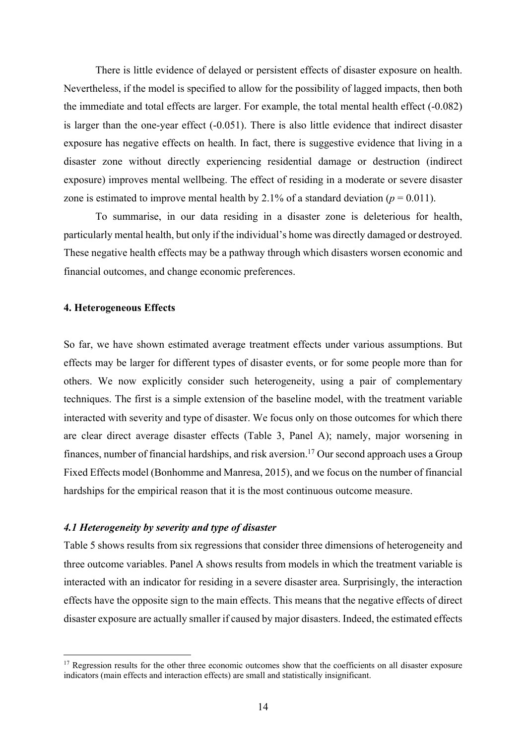There is little evidence of delayed or persistent effects of disaster exposure on health. Nevertheless, if the model is specified to allow for the possibility of lagged impacts, then both the immediate and total effects are larger. For example, the total mental health effect (-0.082) is larger than the one-year effect (-0.051). There is also little evidence that indirect disaster exposure has negative effects on health. In fact, there is suggestive evidence that living in a disaster zone without directly experiencing residential damage or destruction (indirect exposure) improves mental wellbeing. The effect of residing in a moderate or severe disaster zone is estimated to improve mental health by 2.1% of a standard deviation ( $p = 0.011$ ).

To summarise, in our data residing in a disaster zone is deleterious for health, particularly mental health, but only if the individual's home was directly damaged or destroyed. These negative health effects may be a pathway through which disasters worsen economic and financial outcomes, and change economic preferences.

# **4. Heterogeneous Effects**

So far, we have shown estimated average treatment effects under various assumptions. But effects may be larger for different types of disaster events, or for some people more than for others. We now explicitly consider such heterogeneity, using a pair of complementary techniques. The first is a simple extension of the baseline model, with the treatment variable interacted with severity and type of disaster. We focus only on those outcomes for which there are clear direct average disaster effects (Table 3, Panel A); namely, major worsening in finances, number of financial hardships, and risk aversion. <sup>17</sup> Our second approach uses a Group Fixed Effects model (Bonhomme and Manresa, 2015), and we focus on the number of financial hardships for the empirical reason that it is the most continuous outcome measure.

# *4.1 Heterogeneity by severity and type of disaster*

Table 5 shows results from six regressions that consider three dimensions of heterogeneity and three outcome variables. Panel A shows results from models in which the treatment variable is interacted with an indicator for residing in a severe disaster area. Surprisingly, the interaction effects have the opposite sign to the main effects. This means that the negative effects of direct disaster exposure are actually smaller if caused by major disasters. Indeed, the estimated effects

<sup>&</sup>lt;sup>17</sup> Regression results for the other three economic outcomes show that the coefficients on all disaster exposure indicators (main effects and interaction effects) are small and statistically insignificant.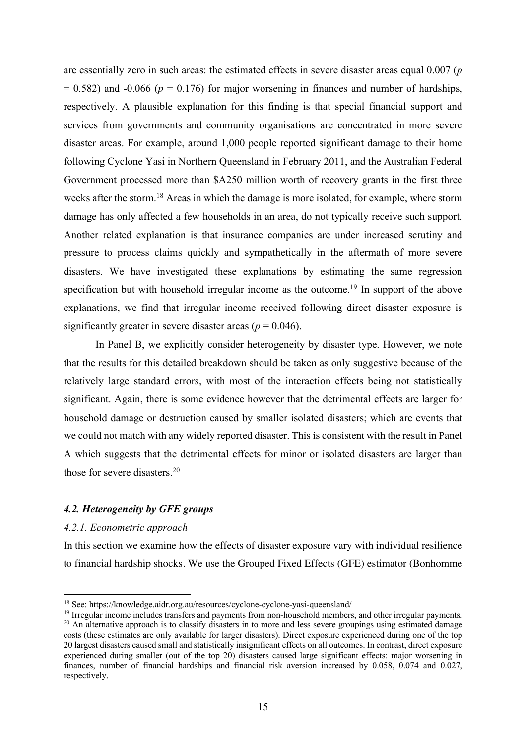are essentially zero in such areas: the estimated effects in severe disaster areas equal 0.007 (*p*  $= 0.582$ ) and  $-0.066$  ( $p = 0.176$ ) for major worsening in finances and number of hardships, respectively. A plausible explanation for this finding is that special financial support and services from governments and community organisations are concentrated in more severe disaster areas. For example, around 1,000 people reported significant damage to their home following Cyclone Yasi in Northern Queensland in February 2011, and the Australian Federal Government processed more than \$A250 million worth of recovery grants in the first three weeks after the storm.<sup>18</sup> Areas in which the damage is more isolated, for example, where storm damage has only affected a few households in an area, do not typically receive such support. Another related explanation is that insurance companies are under increased scrutiny and pressure to process claims quickly and sympathetically in the aftermath of more severe disasters. We have investigated these explanations by estimating the same regression specification but with household irregular income as the outcome.<sup>19</sup> In support of the above explanations, we find that irregular income received following direct disaster exposure is significantly greater in severe disaster areas ( $p = 0.046$ ).

In Panel B, we explicitly consider heterogeneity by disaster type. However, we note that the results for this detailed breakdown should be taken as only suggestive because of the relatively large standard errors, with most of the interaction effects being not statistically significant. Again, there is some evidence however that the detrimental effects are larger for household damage or destruction caused by smaller isolated disasters; which are events that we could not match with any widely reported disaster. This is consistent with the result in Panel A which suggests that the detrimental effects for minor or isolated disasters are larger than those for severe disasters. 20

# *4.2. Heterogeneity by GFE groups*

# *4.2.1. Econometric approach*

In this section we examine how the effects of disaster exposure vary with individual resilience to financial hardship shocks. We use the Grouped Fixed Effects (GFE) estimator (Bonhomme

<sup>18</sup> See: https://knowledge.aidr.org.au/resources/cyclone-cyclone-yasi-queensland/

<sup>&</sup>lt;sup>19</sup> Irregular income includes transfers and payments from non-household members, and other irregular payments. <sup>20</sup> An alternative approach is to classify disasters in to more and less severe groupings using estimated damage costs (these estimates are only available for larger disasters). Direct exposure experienced during one of the top 20 largest disasters caused small and statistically insignificant effects on all outcomes. In contrast, direct exposure experienced during smaller (out of the top 20) disasters caused large significant effects: major worsening in finances, number of financial hardships and financial risk aversion increased by 0.058, 0.074 and 0.027, respectively.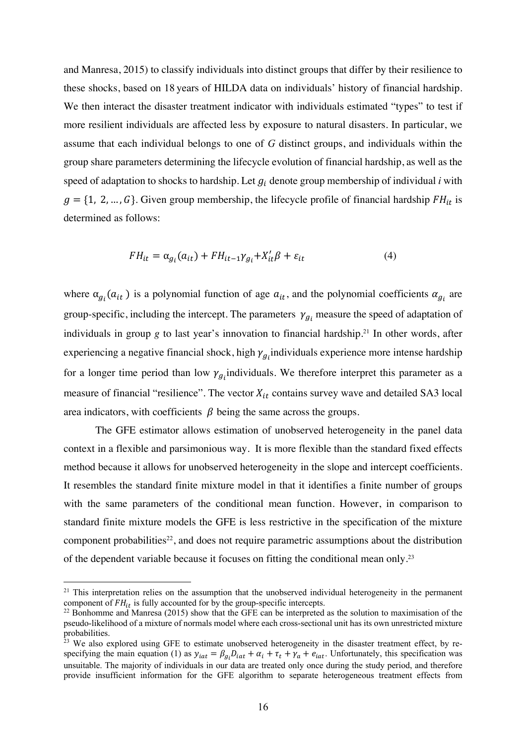and Manresa, 2015) to classify individuals into distinct groups that differ by their resilience to these shocks, based on 18 years of HILDA data on individuals' history of financial hardship. We then interact the disaster treatment indicator with individuals estimated "types" to test if more resilient individuals are affected less by exposure to natural disasters. In particular, we assume that each individual belongs to one of *G* distinct groups, and individuals within the group share parameters determining the lifecycle evolution of financial hardship, as well as the speed of adaptation to shocks to hardship. Let  $g_i$  denote group membership of individual *i* with  $g = \{1, 2, ..., G\}$ . Given group membership, the lifecycle profile of financial hardship  $FH_{it}$  is determined as follows:

$$
FH_{it} = \alpha_{g_i}(a_{it}) + FH_{it-1}\gamma_{g_i} + X'_{it}\beta + \varepsilon_{it}
$$
\n
$$
\tag{4}
$$

where  $\alpha_{g_i}(a_{it})$  is a polynomial function of age  $a_{it}$ , and the polynomial coefficients  $\alpha_{g_i}$  are group-specific, including the intercept. The parameters  $\gamma_{a_i}$  measure the speed of adaptation of individuals in group *g* to last year's innovation to financial hardship. <sup>21</sup> In other words, after experiencing a negative financial shock, high  $\gamma_{g_i}$ individuals experience more intense hardship for a longer time period than low  $\gamma_{g_i}$  individuals. We therefore interpret this parameter as a measure of financial "resilience". The vector  $X_{it}$  contains survey wave and detailed SA3 local area indicators, with coefficients  $\beta$  being the same across the groups.

The GFE estimator allows estimation of unobserved heterogeneity in the panel data context in a flexible and parsimonious way. It is more flexible than the standard fixed effects method because it allows for unobserved heterogeneity in the slope and intercept coefficients. It resembles the standard finite mixture model in that it identifies a finite number of groups with the same parameters of the conditional mean function. However, in comparison to standard finite mixture models the GFE is less restrictive in the specification of the mixture component probabilities<sup>22</sup>, and does not require parametric assumptions about the distribution of the dependent variable because it focuses on fitting the conditional mean only. 23

<sup>&</sup>lt;sup>21</sup> This interpretation relies on the assumption that the unobserved individual heterogeneity in the permanent component of  $FH_{it}$  is fully accounted for by the group-specific intercepts.<br><sup>22</sup> Bonhomme and Manresa (2015) show that the GFE can be interpreted as the solution to maximisation of the

pseudo-likelihood of a mixture of normals model where each cross-sectional unit has its own unrestricted mixture probabilities.

<sup>&</sup>lt;sup>23</sup> We also explored using GFE to estimate unobserved heterogeneity in the disaster treatment effect, by respecifying the main equation (1) as  $y_{iat} = \beta_{gi}D_{iat} + \alpha_i + \tau_t + \gamma_a + e_{iat}$ . Unfortunately, this specification was unsuitable. The majority of individuals in our data are treated only once during the study period, and therefore provide insufficient information for the GFE algorithm to separate heterogeneous treatment effects from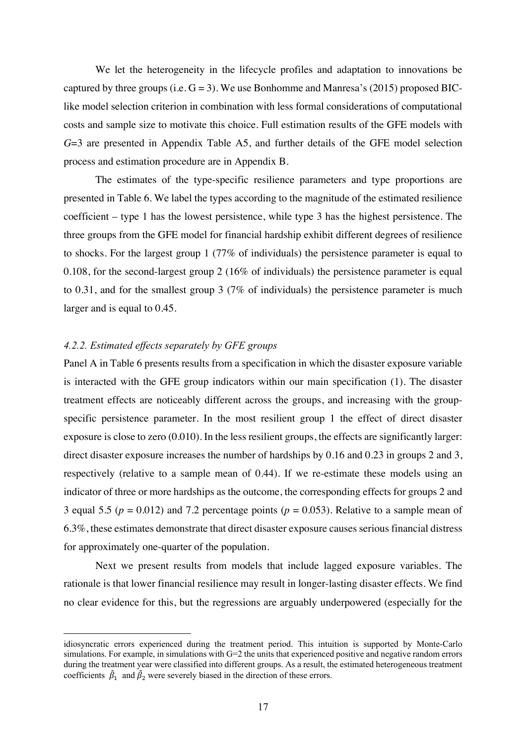We let the heterogeneity in the lifecycle profiles and adaptation to innovations be captured by three groups (i.e.  $G = 3$ ). We use Bonhomme and Manresa's (2015) proposed BIClike model selection criterion in combination with less formal considerations of computational costs and sample size to motivate this choice. Full estimation results of the GFE models with *G*=3 are presented in Appendix Table A5, and further details of the GFE model selection process and estimation procedure are in Appendix B.

The estimates of the type-specific resilience parameters and type proportions are presented in Table 6. We label the types according to the magnitude of the estimated resilience coefficient – type 1 has the lowest persistence, while type 3 has the highest persistence. The three groups from the GFE model for financial hardship exhibit different degrees of resilience to shocks. For the largest group 1 (77% of individuals) the persistence parameter is equal to 0.108, for the second-largest group 2 (16% of individuals) the persistence parameter is equal to 0.31, and for the smallest group 3 (7% of individuals) the persistence parameter is much larger and is equal to 0.45.

# *4.2.2. Estimated effects separately by GFE groups*

Panel A in Table 6 presents results from a specification in which the disaster exposure variable is interacted with the GFE group indicators within our main specification (1). The disaster treatment effects are noticeably different across the groups, and increasing with the groupspecific persistence parameter. In the most resilient group 1 the effect of direct disaster exposure is close to zero (0.010). In the less resilient groups, the effects are significantly larger: direct disaster exposure increases the number of hardships by 0.16 and 0.23 in groups 2 and 3, respectively (relative to a sample mean of 0.44). If we re-estimate these models using an indicator of three or more hardships as the outcome, the corresponding effects for groups 2 and 3 equal 5.5 ( $p = 0.012$ ) and 7.2 percentage points ( $p = 0.053$ ). Relative to a sample mean of 6.3%, these estimates demonstrate that direct disaster exposure causes serious financial distress for approximately one-quarter of the population.

Next we present results from models that include lagged exposure variables. The rationale is that lower financial resilience may result in longer-lasting disaster effects. We find no clear evidence for this, but the regressions are arguably underpowered (especially for the

idiosyncratic errors experienced during the treatment period. This intuition is supported by Monte-Carlo simulations. For example, in simulations with G=2 the units that experienced positive and negative random errors during the treatment year were classified into different groups. As a result, the estimated heterogeneous treatment coefficients  $\hat{\beta}_1$  and  $\hat{\beta}_2$  were severely biased in the direction of these errors.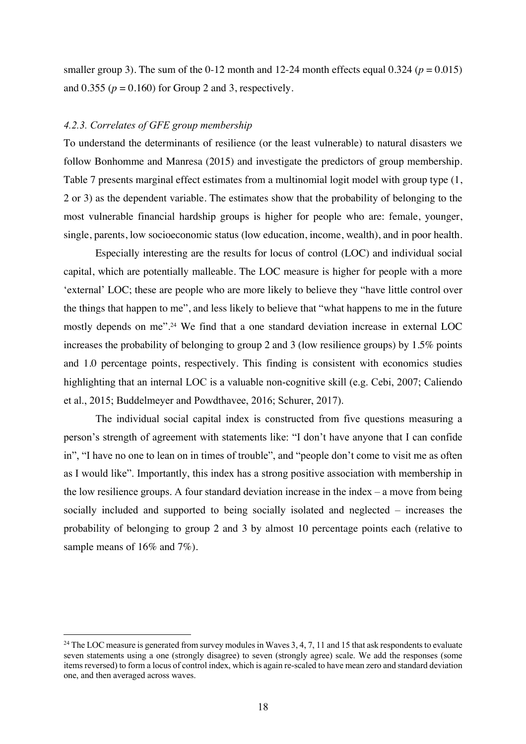smaller group 3). The sum of the  $0-12$  month and  $12-24$  month effects equal  $0.324$  ( $p = 0.015$ ) and  $0.355$  ( $p = 0.160$ ) for Group 2 and 3, respectively.

# *4.2.3. Correlates of GFE group membership*

To understand the determinants of resilience (or the least vulnerable) to natural disasters we follow Bonhomme and Manresa (2015) and investigate the predictors of group membership. Table 7 presents marginal effect estimates from a multinomial logit model with group type (1, 2 or 3) as the dependent variable. The estimates show that the probability of belonging to the most vulnerable financial hardship groups is higher for people who are: female, younger, single, parents, low socioeconomic status (low education, income, wealth), and in poor health.

Especially interesting are the results for locus of control (LOC) and individual social capital, which are potentially malleable. The LOC measure is higher for people with a more 'external' LOC; these are people who are more likely to believe they "have little control over the things that happen to me", and less likely to believe that "what happens to me in the future mostly depends on me".24 We find that a one standard deviation increase in external LOC increases the probability of belonging to group 2 and 3 (low resilience groups) by 1.5% points and 1.0 percentage points, respectively. This finding is consistent with economics studies highlighting that an internal LOC is a valuable non-cognitive skill (e.g. Cebi, 2007; Caliendo et al., 2015; Buddelmeyer and Powdthavee, 2016; Schurer, 2017).

The individual social capital index is constructed from five questions measuring a person's strength of agreement with statements like: "I don't have anyone that I can confide in", "I have no one to lean on in times of trouble", and "people don't come to visit me as often as I would like". Importantly, this index has a strong positive association with membership in the low resilience groups. A four standard deviation increase in the index  $-$  a move from being socially included and supported to being socially isolated and neglected – increases the probability of belonging to group 2 and 3 by almost 10 percentage points each (relative to sample means of 16% and 7%).

<sup>&</sup>lt;sup>24</sup> The LOC measure is generated from survey modules in Waves 3, 4, 7, 11 and 15 that ask respondents to evaluate seven statements using a one (strongly disagree) to seven (strongly agree) scale. We add the responses (some items reversed) to form a locus of control index, which is again re-scaled to have mean zero and standard deviation one, and then averaged across waves.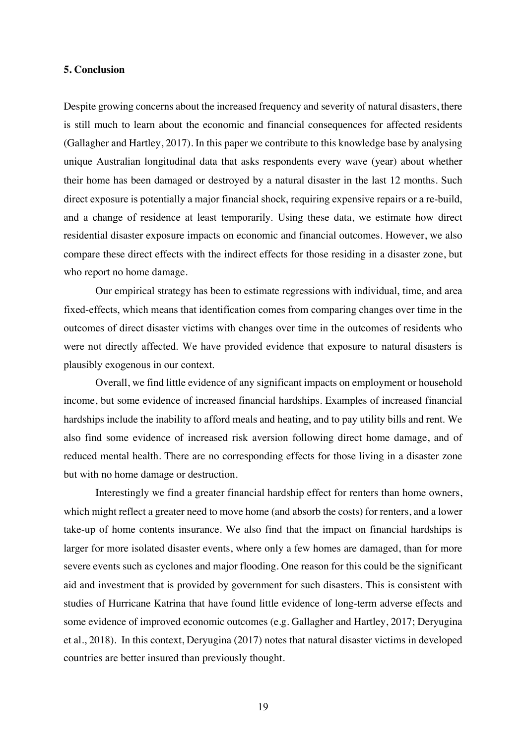#### **5. Conclusion**

Despite growing concerns about the increased frequency and severity of natural disasters, there is still much to learn about the economic and financial consequences for affected residents (Gallagher and Hartley, 2017). In this paper we contribute to this knowledge base by analysing unique Australian longitudinal data that asks respondents every wave (year) about whether their home has been damaged or destroyed by a natural disaster in the last 12 months. Such direct exposure is potentially a major financial shock, requiring expensive repairs or a re-build, and a change of residence at least temporarily. Using these data, we estimate how direct residential disaster exposure impacts on economic and financial outcomes. However, we also compare these direct effects with the indirect effects for those residing in a disaster zone, but who report no home damage.

Our empirical strategy has been to estimate regressions with individual, time, and area fixed-effects, which means that identification comes from comparing changes over time in the outcomes of direct disaster victims with changes over time in the outcomes of residents who were not directly affected. We have provided evidence that exposure to natural disasters is plausibly exogenous in our context.

Overall, we find little evidence of any significant impacts on employment or household income, but some evidence of increased financial hardships. Examples of increased financial hardships include the inability to afford meals and heating, and to pay utility bills and rent. We also find some evidence of increased risk aversion following direct home damage, and of reduced mental health. There are no corresponding effects for those living in a disaster zone but with no home damage or destruction.

Interestingly we find a greater financial hardship effect for renters than home owners, which might reflect a greater need to move home (and absorb the costs) for renters, and a lower take-up of home contents insurance. We also find that the impact on financial hardships is larger for more isolated disaster events, where only a few homes are damaged, than for more severe events such as cyclones and major flooding. One reason for this could be the significant aid and investment that is provided by government for such disasters. This is consistent with studies of Hurricane Katrina that have found little evidence of long-term adverse effects and some evidence of improved economic outcomes (e.g. Gallagher and Hartley, 2017; Deryugina et al., 2018). In this context, Deryugina (2017) notes that natural disaster victims in developed countries are better insured than previously thought.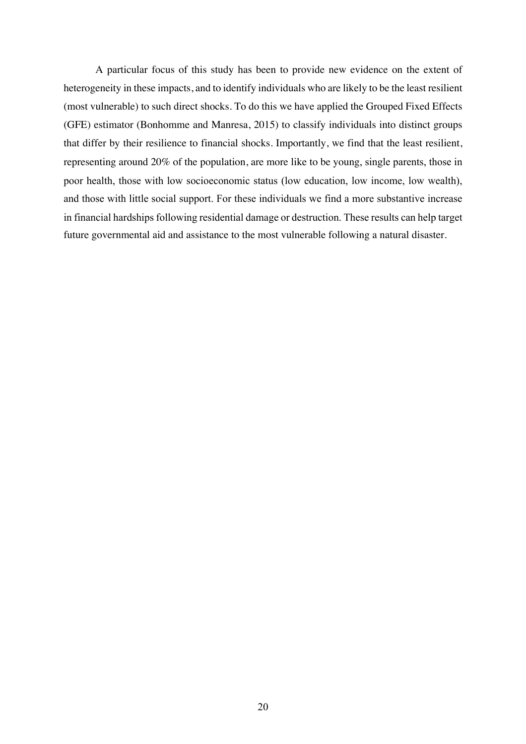A particular focus of this study has been to provide new evidence on the extent of heterogeneity in these impacts, and to identify individuals who are likely to be the least resilient (most vulnerable) to such direct shocks. To do this we have applied the Grouped Fixed Effects (GFE) estimator (Bonhomme and Manresa, 2015) to classify individuals into distinct groups that differ by their resilience to financial shocks. Importantly, we find that the least resilient, representing around 20% of the population, are more like to be young, single parents, those in poor health, those with low socioeconomic status (low education, low income, low wealth), and those with little social support. For these individuals we find a more substantive increase in financial hardships following residential damage or destruction. These results can help target future governmental aid and assistance to the most vulnerable following a natural disaster.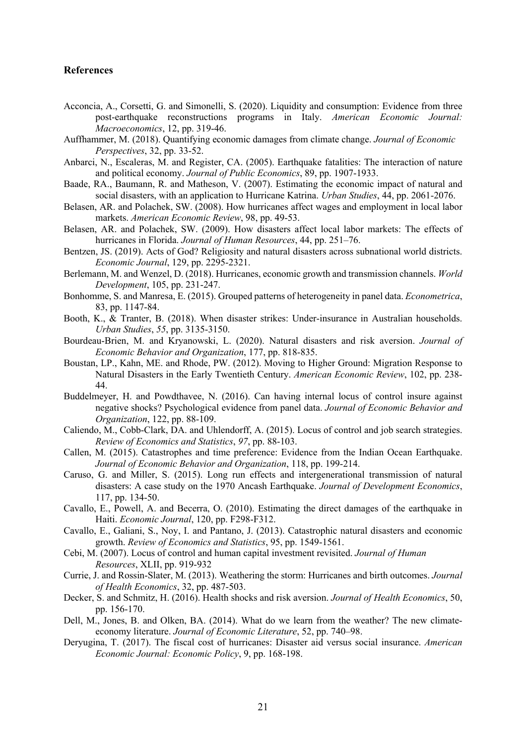# **References**

- Acconcia, A., Corsetti, G. and Simonelli, S. (2020). Liquidity and consumption: Evidence from three post-earthquake reconstructions programs in Italy. *American Economic Journal: Macroeconomics*, 12, pp. 319-46.
- Auffhammer, M. (2018). Quantifying economic damages from climate change. *Journal of Economic Perspectives*, 32, pp. 33-52.
- Anbarci, N., Escaleras, M. and Register, CA. (2005). Earthquake fatalities: The interaction of nature and political economy. *Journal of Public Economics*, 89, pp. 1907-1933.
- Baade, RA., Baumann, R. and Matheson, V. (2007). Estimating the economic impact of natural and social disasters, with an application to Hurricane Katrina. *Urban Studies*, 44, pp. 2061-2076.
- Belasen, AR. and Polachek, SW. (2008). How hurricanes affect wages and employment in local labor markets. *American Economic Review*, 98, pp. 49-53.
- Belasen, AR. and Polachek, SW. (2009). How disasters affect local labor markets: The effects of hurricanes in Florida. *Journal of Human Resources*, 44, pp. 251–76.
- Bentzen, JS. (2019). Acts of God? Religiosity and natural disasters across subnational world districts. *Economic Journal*, 129, pp. 2295-2321.
- Berlemann, M. and Wenzel, D. (2018). Hurricanes, economic growth and transmission channels. *World Development*, 105, pp. 231-247.
- Bonhomme, S. and Manresa, E. (2015). Grouped patterns of heterogeneity in panel data. *Econometrica*, 83, pp. 1147-84.
- Booth, K., & Tranter, B. (2018). When disaster strikes: Under-insurance in Australian households. *Urban Studies*, *55*, pp. 3135-3150.
- Bourdeau-Brien, M. and Kryanowski, L. (2020). Natural disasters and risk aversion. *Journal of Economic Behavior and Organization*, 177, pp. 818-835.
- Boustan, LP., Kahn, ME. and Rhode, PW. (2012). Moving to Higher Ground: Migration Response to Natural Disasters in the Early Twentieth Century. *American Economic Review*, 102, pp. 238- 44.
- Buddelmeyer, H. and Powdthavee, N. (2016). Can having internal locus of control insure against negative shocks? Psychological evidence from panel data. *Journal of Economic Behavior and Organization*, 122, pp. 88-109.
- Caliendo, M., Cobb-Clark, DA. and Uhlendorff, A. (2015). Locus of control and job search strategies. *Review of Economics and Statistics*, *97*, pp. 88-103.
- Callen, M. (2015). Catastrophes and time preference: Evidence from the Indian Ocean Earthquake. *Journal of Economic Behavior and Organization*, 118, pp. 199-214.
- Caruso, G. and Miller, S. (2015). Long run effects and intergenerational transmission of natural disasters: A case study on the 1970 Ancash Earthquake. *Journal of Development Economics*, 117, pp. 134-50.
- Cavallo, E., Powell, A. and Becerra, O. (2010). Estimating the direct damages of the earthquake in Haiti. *Economic Journal*, 120, pp. F298-F312.
- Cavallo, E., Galiani, S., Noy, I. and Pantano, J. (2013). Catastrophic natural disasters and economic growth. *Review of Economics and Statistics*, 95, pp. 1549-1561.
- Cebi, M. (2007). Locus of control and human capital investment revisited. *Journal of Human Resources*, XLII, pp. 919-932
- Currie, J. and Rossin-Slater, M. (2013). Weathering the storm: Hurricanes and birth outcomes. *Journal of Health Economics*, 32, pp. 487-503.
- Decker, S. and Schmitz, H. (2016). Health shocks and risk aversion. *Journal of Health Economics*, 50, pp. 156-170.
- Dell, M., Jones, B. and Olken, BA. (2014). What do we learn from the weather? The new climateeconomy literature. *Journal of Economic Literature*, 52, pp. 740–98.
- Deryugina, T. (2017). The fiscal cost of hurricanes: Disaster aid versus social insurance. *American Economic Journal: Economic Policy*, 9, pp. 168-198.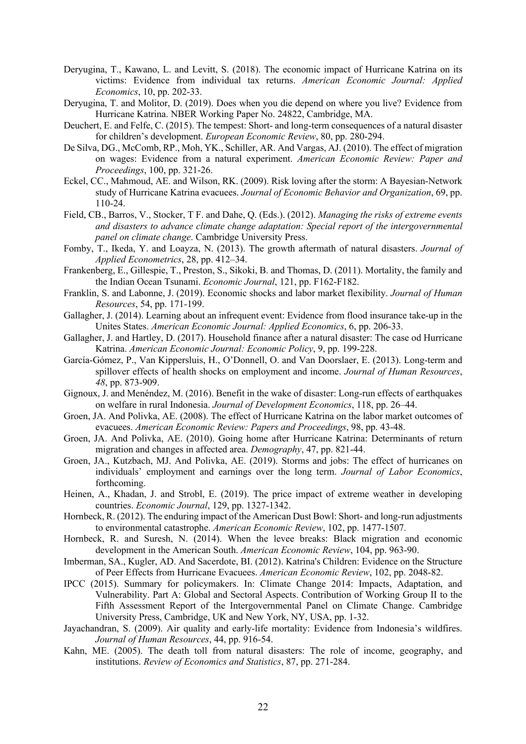- Deryugina, T., Kawano, L. and Levitt, S. (2018). The economic impact of Hurricane Katrina on its victims: Evidence from individual tax returns. *American Economic Journal: Applied Economics*, 10, pp. 202-33.
- Deryugina, T. and Molitor, D. (2019). Does when you die depend on where you live? Evidence from Hurricane Katrina. NBER Working Paper No. 24822, Cambridge, MA.
- Deuchert, E. and Felfe, C. (2015). The tempest: Short- and long-term consequences of a natural disaster for children's development. *European Economic Review*, 80, pp. 280-294.
- De Silva, DG., McComb, RP., Moh, YK., Schiller, AR. And Vargas, AJ. (2010). The effect of migration on wages: Evidence from a natural experiment. *American Economic Review: Paper and Proceedings*, 100, pp. 321-26.
- Eckel, CC., Mahmoud, AE. and Wilson, RK. (2009). Risk loving after the storm: A Bayesian-Network study of Hurricane Katrina evacuees. *Journal of Economic Behavior and Organization*, 69, pp. 110-24.
- Field, CB., Barros, V., Stocker, T F. and Dahe, Q. (Eds.). (2012). *Managing the risks of extreme events and disasters to advance climate change adaptation: Special report of the intergovernmental panel on climate change*. Cambridge University Press.
- Fomby, T., Ikeda, Y. and Loayza, N. (2013). The growth aftermath of natural disasters. *Journal of Applied Econometrics*, 28, pp. 412–34.
- Frankenberg, E., Gillespie, T., Preston, S., Sikoki, B. and Thomas, D. (2011). Mortality, the family and the Indian Ocean Tsunami. *Economic Journal*, 121, pp. F162-F182.
- Franklin, S. and Labonne, J. (2019). Economic shocks and labor market flexibility. *Journal of Human Resources*, 54, pp. 171-199.
- Gallagher, J. (2014). Learning about an infrequent event: Evidence from flood insurance take-up in the Unites States. *American Economic Journal: Applied Economics*, 6, pp. 206-33.
- Gallagher, J. and Hartley, D. (2017). Household finance after a natural disaster: The case od Hurricane Katrina. *American Economic Journal: Economic Policy*, 9, pp. 199-228.
- García-Gómez, P., Van Kippersluis, H., O'Donnell, O. and Van Doorslaer, E. (2013). Long-term and spillover effects of health shocks on employment and income. *Journal of Human Resources*, *48*, pp. 873-909.
- Gignoux, J. and Menéndez, M. (2016). Benefit in the wake of disaster: Long-run effects of earthquakes on welfare in rural Indonesia. *Journal of Development Economics*, 118, pp. 26–44.
- Groen, JA. And Polivka, AE. (2008). The effect of Hurricane Katrina on the labor market outcomes of evacuees. *American Economic Review: Papers and Proceedings*, 98, pp. 43-48.
- Groen, JA. And Polivka, AE. (2010). Going home after Hurricane Katrina: Determinants of return migration and changes in affected area. *Demography*, 47, pp. 821-44.
- Groen, JA., Kutzbach, MJ. And Polivka, AE. (2019). Storms and jobs: The effect of hurricanes on individuals' employment and earnings over the long term. *Journal of Labor Economics*, forthcoming.
- Heinen, A., Khadan, J. and Strobl, E. (2019). The price impact of extreme weather in developing countries. *Economic Journal*, 129, pp. 1327-1342.
- Hornbeck, R. (2012). The enduring impact of the American Dust Bowl: Short- and long-run adjustments to environmental catastrophe. *American Economic Review*, 102, pp. 1477-1507.
- Hornbeck, R. and Suresh, N. (2014). When the levee breaks: Black migration and economic development in the American South. *American Economic Review*, 104, pp. 963-90.
- Imberman, SA., Kugler, AD. And Sacerdote, BI. (2012). Katrina's Children: Evidence on the Structure of Peer Effects from Hurricane Evacuees. *American Economic Review*, 102, pp. 2048-82.
- IPCC (2015). Summary for policymakers. In: Climate Change 2014: Impacts, Adaptation, and Vulnerability. Part A: Global and Sectoral Aspects. Contribution of Working Group II to the Fifth Assessment Report of the Intergovernmental Panel on Climate Change. Cambridge University Press, Cambridge, UK and New York, NY, USA, pp. 1-32.
- Jayachandran, S. (2009). Air quality and early-life mortality: Evidence from Indonesia's wildfires. *Journal of Human Resources*, 44, pp. 916-54.
- Kahn, ME. (2005). The death toll from natural disasters: The role of income, geography, and institutions. *Review of Economics and Statistics*, 87, pp. 271-284.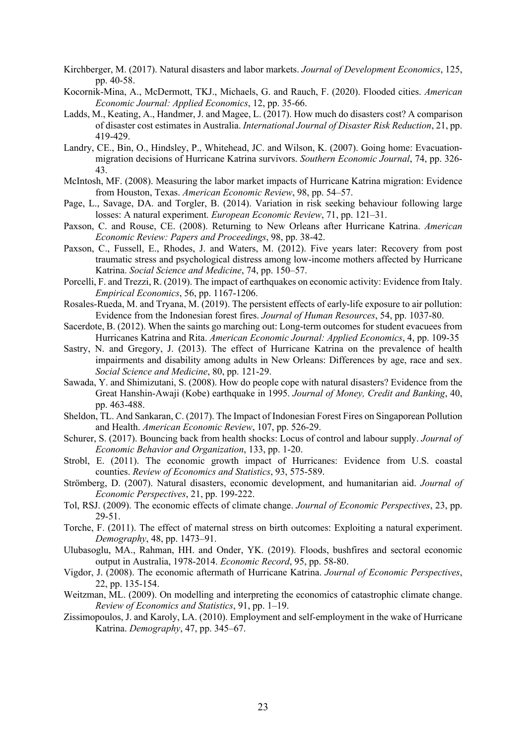- Kirchberger, M. (2017). Natural disasters and labor markets. *Journal of Development Economics*, 125, pp. 40-58.
- Kocornik-Mina, A., McDermott, TKJ., Michaels, G. and Rauch, F. (2020). Flooded cities. *American Economic Journal: Applied Economics*, 12, pp. 35-66.
- Ladds, M., Keating, A., Handmer, J. and Magee, L. (2017). How much do disasters cost? A comparison of disaster cost estimates in Australia. *International Journal of Disaster Risk Reduction*, 21, pp. 419-429.
- Landry, CE., Bin, O., Hindsley, P., Whitehead, JC. and Wilson, K. (2007). Going home: Evacuationmigration decisions of Hurricane Katrina survivors. *Southern Economic Journal*, 74, pp. 326- 43.
- McIntosh, MF. (2008). Measuring the labor market impacts of Hurricane Katrina migration: Evidence from Houston, Texas. *American Economic Review*, 98, pp. 54–57.
- Page, L., Savage, DA. and Torgler, B. (2014). Variation in risk seeking behaviour following large losses: A natural experiment. *European Economic Review*, 71, pp. 121–31.
- Paxson, C. and Rouse, CE. (2008). Returning to New Orleans after Hurricane Katrina. *American Economic Review: Papers and Proceedings*, 98, pp. 38-42.
- Paxson, C., Fussell, E., Rhodes, J. and Waters, M. (2012). Five years later: Recovery from post traumatic stress and psychological distress among low-income mothers affected by Hurricane Katrina. *Social Science and Medicine*, 74, pp. 150–57.
- Porcelli, F. and Trezzi, R. (2019). The impact of earthquakes on economic activity: Evidence from Italy. *Empirical Economics*, 56, pp. 1167-1206.
- Rosales-Rueda, M. and Tryana, M. (2019). The persistent effects of early-life exposure to air pollution: Evidence from the Indonesian forest fires. *Journal of Human Resources*, 54, pp. 1037-80.
- Sacerdote, B. (2012). When the saints go marching out: Long-term outcomes for student evacuees from Hurricanes Katrina and Rita. *American Economic Journal: Applied Economics*, 4, pp. 109-35
- Sastry, N. and Gregory, J. (2013). The effect of Hurricane Katrina on the prevalence of health impairments and disability among adults in New Orleans: Differences by age, race and sex. *Social Science and Medicine*, 80, pp. 121-29.
- Sawada, Y. and Shimizutani, S. (2008). How do people cope with natural disasters? Evidence from the Great Hanshin-Awaji (Kobe) earthquake in 1995. *Journal of Money, Credit and Banking*, 40, pp. 463-488.
- Sheldon, TL. And Sankaran, C. (2017). The Impact of Indonesian Forest Fires on Singaporean Pollution and Health. *American Economic Review*, 107, pp. 526-29.
- Schurer, S. (2017). Bouncing back from health shocks: Locus of control and labour supply. *Journal of Economic Behavior and Organization*, 133, pp. 1-20.
- Strobl, E. (2011). The economic growth impact of Hurricanes: Evidence from U.S. coastal counties. *Review of Economics and Statistics*, 93, 575-589.
- Strömberg, D. (2007). Natural disasters, economic development, and humanitarian aid. *Journal of Economic Perspectives*, 21, pp. 199-222.
- Tol, RSJ. (2009). The economic effects of climate change. *Journal of Economic Perspectives*, 23, pp. 29-51.
- Torche, F. (2011). The effect of maternal stress on birth outcomes: Exploiting a natural experiment. *Demography*, 48, pp. 1473–91.
- Ulubasoglu, MA., Rahman, HH. and Onder, YK. (2019). Floods, bushfires and sectoral economic output in Australia, 1978-2014. *Economic Record*, 95, pp. 58-80.
- Vigdor, J. (2008). The economic aftermath of Hurricane Katrina. *Journal of Economic Perspectives*, 22, pp. 135-154.
- Weitzman, ML. (2009). On modelling and interpreting the economics of catastrophic climate change. *Review of Economics and Statistics*, 91, pp. 1–19.
- Zissimopoulos, J. and Karoly, LA. (2010). Employment and self-employment in the wake of Hurricane Katrina. *Demography*, 47, pp. 345–67.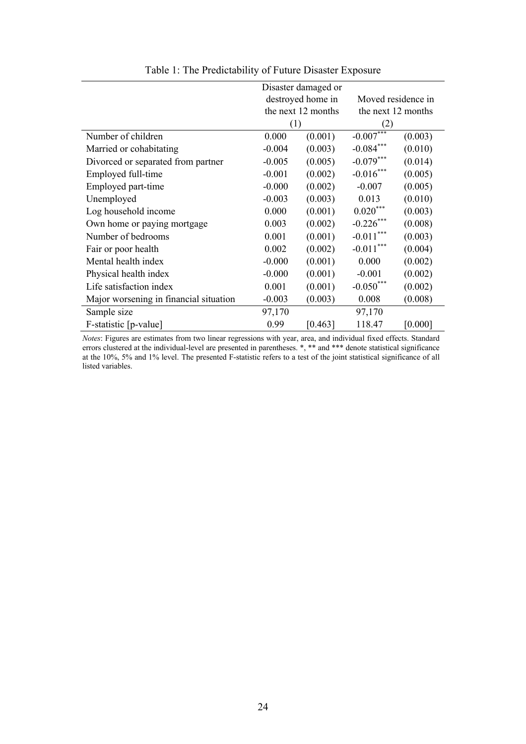|                                        | Disaster damaged or |                    |                    |         |  |  |
|----------------------------------------|---------------------|--------------------|--------------------|---------|--|--|
|                                        |                     | destroyed home in  | Moved residence in |         |  |  |
|                                        |                     | the next 12 months | the next 12 months |         |  |  |
|                                        | (1)                 |                    | (2)                |         |  |  |
| Number of children                     | 0.000               | (0.001)            | $-0.007***$        | (0.003) |  |  |
| Married or cohabitating                | $-0.004$            | (0.003)            | $-0.084***$        | (0.010) |  |  |
| Divorced or separated from partner     | $-0.005$            | (0.005)            | $-0.079***$        | (0.014) |  |  |
| Employed full-time                     | $-0.001$            | (0.002)            | $-0.016***$        | (0.005) |  |  |
| Employed part-time                     | $-0.000$            | (0.002)            | $-0.007$           | (0.005) |  |  |
| Unemployed                             | $-0.003$            | (0.003)            | 0.013              | (0.010) |  |  |
| Log household income                   | 0.000               | (0.001)            | $0.020***$         | (0.003) |  |  |
| Own home or paying mortgage            | 0.003               | (0.002)            | $-0.226$ ***       | (0.008) |  |  |
| Number of bedrooms                     | 0.001               | (0.001)            | $-0.011***$        | (0.003) |  |  |
| Fair or poor health                    | 0.002               | (0.002)            | $-0.011***$        | (0.004) |  |  |
| Mental health index                    | $-0.000$            | (0.001)            | 0.000              | (0.002) |  |  |
| Physical health index                  | $-0.000$            | (0.001)            | $-0.001$           | (0.002) |  |  |
| Life satisfaction index                | 0.001               | (0.001)            | $-0.050***$        | (0.002) |  |  |
| Major worsening in financial situation | $-0.003$            | (0.003)            | 0.008              | (0.008) |  |  |
| Sample size                            | 97,170              |                    | 97,170             |         |  |  |
| F-statistic [p-value]                  | 0.99                | [0.463]            | 118.47             | [0.000] |  |  |

Table 1: The Predictability of Future Disaster Exposure

*Notes*: Figures are estimates from two linear regressions with year, area, and individual fixed effects. Standard errors clustered at the individual-level are presented in parentheses. \*, \*\* and \*\*\* denote statistical significance at the 10%, 5% and 1% level. The presented F-statistic refers to a test of the joint statistical significance of all listed variables.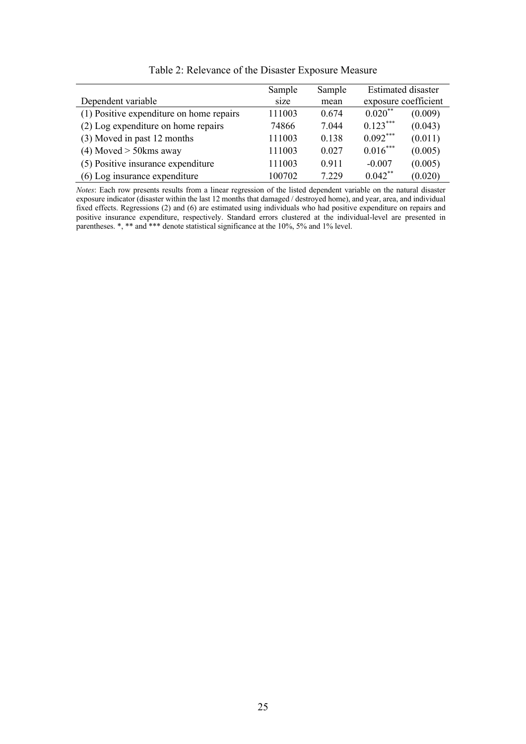|                                          | Sample | Sample | <b>Estimated disaster</b> |                      |
|------------------------------------------|--------|--------|---------------------------|----------------------|
| Dependent variable                       | size   | mean   |                           | exposure coefficient |
| (1) Positive expenditure on home repairs | 111003 | 0.674  | $0.020$ **                | (0.009)              |
| (2) Log expenditure on home repairs      | 74866  | 7.044  | $0.123***$                | (0.043)              |
| (3) Moved in past 12 months              | 111003 | 0.138  | $0.092***$                | (0.011)              |
| $(4)$ Moved $>$ 50 kms away              | 111003 | 0.027  | $0.016***$                | (0.005)              |
| (5) Positive insurance expenditure       | 111003 | 0.911  | $-0.007$                  | (0.005)              |
| (6) Log insurance expenditure            | 100702 | 7.229  | $0.042$ **                | (0.020)              |

Table 2: Relevance of the Disaster Exposure Measure

*Notes*: Each row presents results from a linear regression of the listed dependent variable on the natural disaster exposure indicator (disaster within the last 12 months that damaged / destroyed home), and year, area, and individual fixed effects. Regressions (2) and (6) are estimated using individuals who had positive expenditure on repairs and positive insurance expenditure, respectively. Standard errors clustered at the individual-level are presented in parentheses. \*, \*\* and \*\*\* denote statistical significance at the 10%, 5% and 1% level.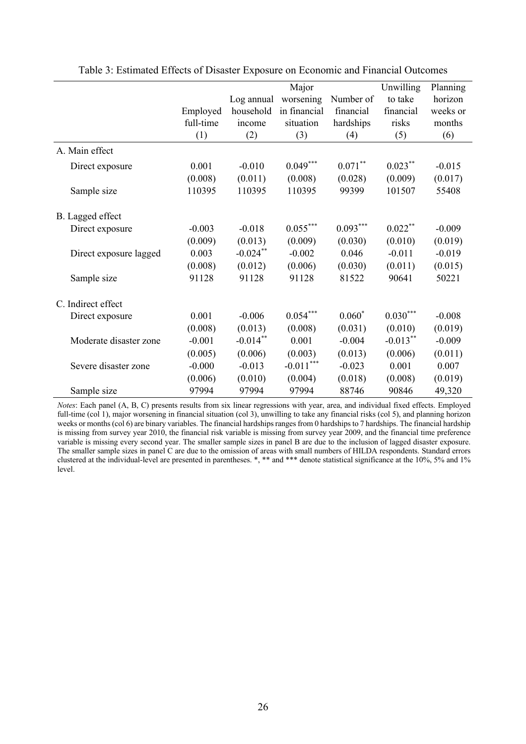|                        |           |             | Major        |            | Unwilling   | Planning |
|------------------------|-----------|-------------|--------------|------------|-------------|----------|
|                        |           | Log annual  | worsening    | Number of  | to take     | horizon  |
|                        | Employed  | household   | in financial | financial  | financial   | weeks or |
|                        | full-time | income      | situation    | hardships  | risks       | months   |
|                        | (1)       | (2)         | (3)          | (4)        | (5)         | (6)      |
| A. Main effect         |           |             |              |            |             |          |
| Direct exposure        | 0.001     | $-0.010$    | $0.049***$   | $0.071***$ | $0.023***$  | $-0.015$ |
|                        | (0.008)   | (0.011)     | (0.008)      | (0.028)    | (0.009)     | (0.017)  |
| Sample size            | 110395    | 110395      | 110395       | 99399      | 101507      | 55408    |
| B. Lagged effect       |           |             |              |            |             |          |
| Direct exposure        | $-0.003$  | $-0.018$    | $0.055***$   | $0.093***$ | $0.022***$  | $-0.009$ |
|                        | (0.009)   | (0.013)     | (0.009)      | (0.030)    | (0.010)     | (0.019)  |
| Direct exposure lagged | 0.003     | $-0.024$ ** | $-0.002$     | 0.046      | $-0.011$    | $-0.019$ |
|                        | (0.008)   | (0.012)     | (0.006)      | (0.030)    | (0.011)     | (0.015)  |
| Sample size            | 91128     | 91128       | 91128        | 81522      | 90641       | 50221    |
| C. Indirect effect     |           |             |              |            |             |          |
| Direct exposure        | 0.001     | $-0.006$    | $0.054***$   | $0.060*$   | $0.030***$  | $-0.008$ |
|                        | (0.008)   | (0.013)     | (0.008)      | (0.031)    | (0.010)     | (0.019)  |
| Moderate disaster zone | $-0.001$  | $-0.014**$  | 0.001        | $-0.004$   | $-0.013***$ | $-0.009$ |
|                        | (0.005)   | (0.006)     | (0.003)      | (0.013)    | (0.006)     | (0.011)  |
| Severe disaster zone   | $-0.000$  | $-0.013$    | $-0.011***$  | $-0.023$   | 0.001       | 0.007    |
|                        | (0.006)   | (0.010)     | (0.004)      | (0.018)    | (0.008)     | (0.019)  |
| Sample size            | 97994     | 97994       | 97994        | 88746      | 90846       | 49,320   |

Table 3: Estimated Effects of Disaster Exposure on Economic and Financial Outcomes

*Notes*: Each panel (A, B, C) presents results from six linear regressions with year, area, and individual fixed effects. Employed full-time (col 1), major worsening in financial situation (col 3), unwilling to take any financial risks (col 5), and planning horizon weeks or months (col 6) are binary variables. The financial hardships ranges from 0 hardships to 7 hardships. The financial hardship is missing from survey year 2010, the financial risk variable is missing from survey year 2009, and the financial time preference variable is missing every second year. The smaller sample sizes in panel B are due to the inclusion of lagged disaster exposure. The smaller sample sizes in panel C are due to the omission of areas with small numbers of HILDA respondents. Standard errors clustered at the individual-level are presented in parentheses. \*, \*\* and \*\*\* denote statistical significance at the 10%, 5% and 1% level.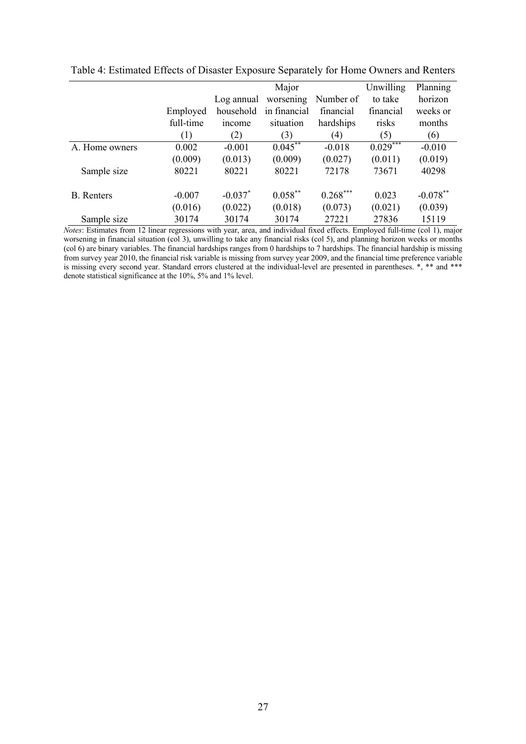|                   |           |            | Major        |            | Unwilling  | Planning    |
|-------------------|-----------|------------|--------------|------------|------------|-------------|
|                   |           | Log annual | worsening    | Number of  | to take    | horizon     |
|                   | Employed  | household  | in financial | financial  | financial  | weeks or    |
|                   | full-time | income     | situation    | hardships  | risks      | months      |
|                   | (1)       | (2)        | (3)          | (4)        | (5)        | (6)         |
| A. Home owners    | 0.002     | $-0.001$   | $0.045***$   | $-0.018$   | $0.029***$ | $-0.010$    |
|                   | (0.009)   | (0.013)    | (0.009)      | (0.027)    | (0.011)    | (0.019)     |
| Sample size       | 80221     | 80221      | 80221        | 72178      | 73671      | 40298       |
| <b>B.</b> Renters | $-0.007$  | $-0.037$ * | $0.058***$   | $0.268***$ | 0.023      | $-0.078$ ** |
|                   | (0.016)   | (0.022)    | (0.018)      | (0.073)    | (0.021)    | (0.039)     |
| Sample size       | 30174     | 30174      | 30174        | 27221      | 27836      | 15119       |

Table 4: Estimated Effects of Disaster Exposure Separately for Home Owners and Renters

*Notes*: Estimates from 12 linear regressions with year, area, and individual fixed effects. Employed full-time (col 1), major worsening in financial situation (col 3), unwilling to take any financial risks (col 5), and planning horizon weeks or months (col 6) are binary variables. The financial hardships ranges from 0 hardships to 7 hardships. The financial hardship is missing from survey year 2010, the financial risk variable is missing from survey year 2009, and the financial time preference variable is missing every second year. Standard errors clustered at the individual-level are presented in parentheses. \*, \*\* and \*\*\* denote statistical significance at the 10%, 5% and 1% level.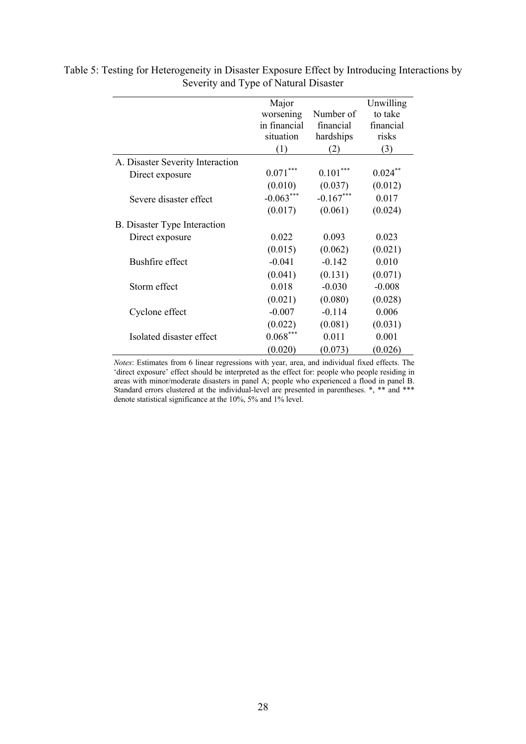|                                     | Major<br>worsening | Number of   | Unwilling<br>to take |
|-------------------------------------|--------------------|-------------|----------------------|
|                                     | in financial       | financial   | financial            |
|                                     | situation          | hardships   | risks                |
|                                     |                    |             |                      |
|                                     | (1)                | (2)         | (3)                  |
| A. Disaster Severity Interaction    |                    |             |                      |
| Direct exposure                     | $0.071***$         | $0.101***$  | $0.024***$           |
|                                     | (0.010)            | (0.037)     | (0.012)              |
| Severe disaster effect              | $-0.063***$        | $-0.167***$ | 0.017                |
|                                     | (0.017)            | (0.061)     | (0.024)              |
| <b>B.</b> Disaster Type Interaction |                    |             |                      |
| Direct exposure                     | 0.022              | 0.093       | 0.023                |
|                                     | (0.015)            | (0.062)     | (0.021)              |
| Bushfire effect                     | $-0.041$           | $-0.142$    | 0.010                |
|                                     | (0.041)            | (0.131)     | (0.071)              |
| Storm effect                        | 0.018              | $-0.030$    | $-0.008$             |
|                                     | (0.021)            | (0.080)     | (0.028)              |
| Cyclone effect                      | $-0.007$           | $-0.114$    | 0.006                |
|                                     | (0.022)            | (0.081)     | (0.031)              |
| Isolated disaster effect            | $0.068***$         | 0.011       | 0.001                |
|                                     | (0.020)            | (0.073)     | (0.026)              |

Table 5: Testing for Heterogeneity in Disaster Exposure Effect by Introducing Interactions by Severity and Type of Natural Disaster

> *Notes*: Estimates from 6 linear regressions with year, area, and individual fixed effects. The 'direct exposure' effect should be interpreted as the effect for: people who people residing in areas with minor/moderate disasters in panel A; people who experienced a flood in panel B. Standard errors clustered at the individual-level are presented in parentheses. \*, \*\* and \*\*\* denote statistical significance at the 10%, 5% and 1% level.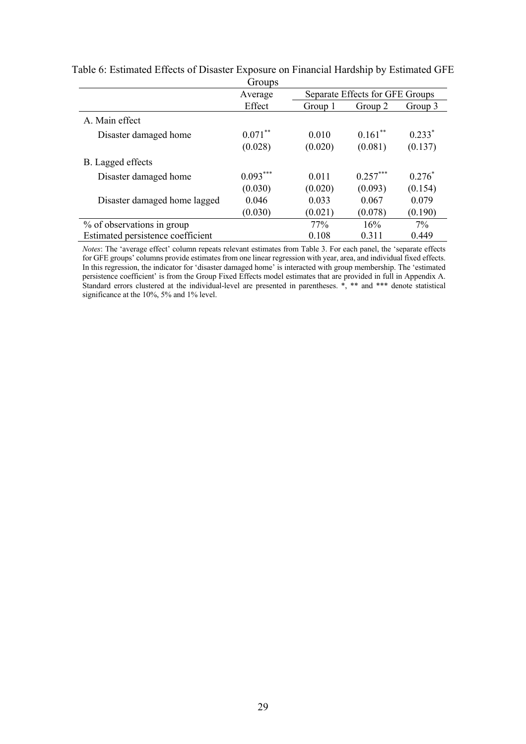|                                   | <b>Groups</b> |                                 |            |          |
|-----------------------------------|---------------|---------------------------------|------------|----------|
|                                   | Average       | Separate Effects for GFE Groups |            |          |
|                                   | Effect        | Group 1                         | Group 2    | Group 3  |
| A. Main effect                    |               |                                 |            |          |
| Disaster damaged home             | $0.071***$    | 0.010                           | $0.161***$ | $0.233*$ |
|                                   | (0.028)       | (0.020)                         | (0.081)    | (0.137)  |
| B. Lagged effects                 |               |                                 |            |          |
| Disaster damaged home             | $0.093***$    | 0.011                           | $0.257***$ | $0.276*$ |
|                                   | (0.030)       | (0.020)                         | (0.093)    | (0.154)  |
| Disaster damaged home lagged      | 0.046         | 0.033                           | 0.067      | 0.079    |
|                                   | (0.030)       | (0.021)                         | (0.078)    | (0.190)  |
| % of observations in group        |               | 77%                             | 16%        | 7%       |
| Estimated persistence coefficient |               | 0.108                           | 0.311      | 0.449    |

Table 6: Estimated Effects of Disaster Exposure on Financial Hardship by Estimated GFE Groups

*Notes*: The 'average effect' column repeats relevant estimates from Table 3. For each panel, the 'separate effects for GFE groups' columns provide estimates from one linear regression with year, area, and individual fixed effects. In this regression, the indicator for 'disaster damaged home' is interacted with group membership. The 'estimated persistence coefficient' is from the Group Fixed Effects model estimates that are provided in full in Appendix A. Standard errors clustered at the individual-level are presented in parentheses.  $\ast$ ,  $\ast\ast$  and  $\ast\ast\ast$  denote statistical significance at the 10%, 5% and 1% level.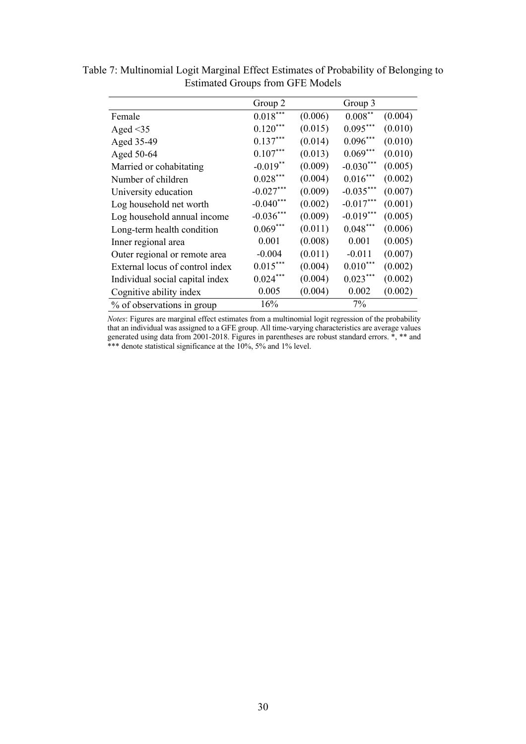|                                 | Group 2     |         | Group 3     |         |
|---------------------------------|-------------|---------|-------------|---------|
| Female                          | $0.018***$  | (0.006) | $0.008***$  | (0.004) |
| Aged $\leq$ 35                  | $0.120***$  | (0.015) | $0.095***$  | (0.010) |
| Aged 35-49                      | $0.137***$  | (0.014) | $0.096***$  | (0.010) |
| Aged 50-64                      | $0.107***$  | (0.013) | $0.069***$  | (0.010) |
| Married or cohabitating         | $-0.019**$  | (0.009) | $-0.030***$ | (0.005) |
| Number of children              | $0.028***$  | (0.004) | $0.016***$  | (0.002) |
| University education            | $-0.027***$ | (0.009) | $-0.035***$ | (0.007) |
| Log household net worth         | $-0.040***$ | (0.002) | $-0.017***$ | (0.001) |
| Log household annual income     | $-0.036***$ | (0.009) | $-0.019***$ | (0.005) |
| Long-term health condition      | $0.069***$  | (0.011) | $0.048***$  | (0.006) |
| Inner regional area             | 0.001       | (0.008) | 0.001       | (0.005) |
| Outer regional or remote area   | $-0.004$    | (0.011) | $-0.011$    | (0.007) |
| External locus of control index | $0.015***$  | (0.004) | $0.010***$  | (0.002) |
| Individual social capital index | $0.024***$  | (0.004) | $0.023***$  | (0.002) |
| Cognitive ability index         | 0.005       | (0.004) | 0.002       | (0.002) |
| % of observations in group      | 16%         |         | 7%          |         |

Table 7: Multinomial Logit Marginal Effect Estimates of Probability of Belonging to Estimated Groups from GFE Models

*Notes*: Figures are marginal effect estimates from a multinomial logit regression of the probability that an individual was assigned to a GFE group. All time-varying characteristics are average values generated using data from 2001-2018. Figures in parentheses are robust standard errors. \*, \*\* and \*\*\* denote statistical significance at the 10%, 5% and 1% level.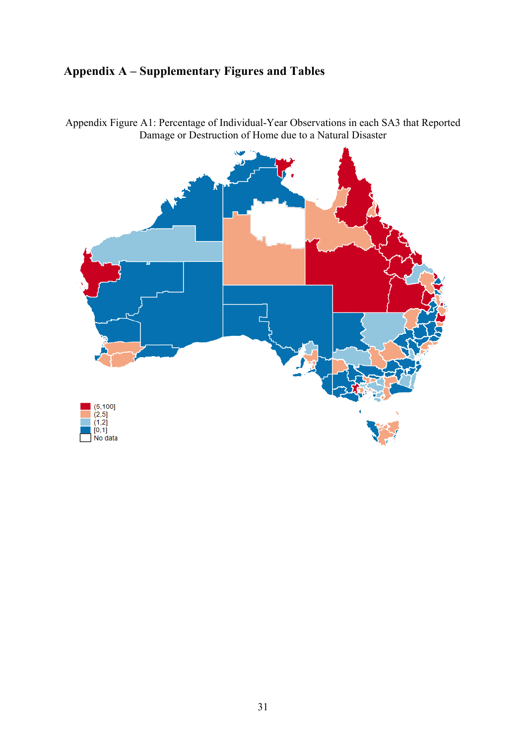# **Appendix A – Supplementary Figures and Tables**

 $(5,100]$ <br> $(2,5]$ (2,0)<br>(1,2)<br>[0,1]<br>No data

Appendix Figure A1: Percentage of Individual-Year Observations in each SA3 that Reported Damage or Destruction of Home due to a Natural Disaster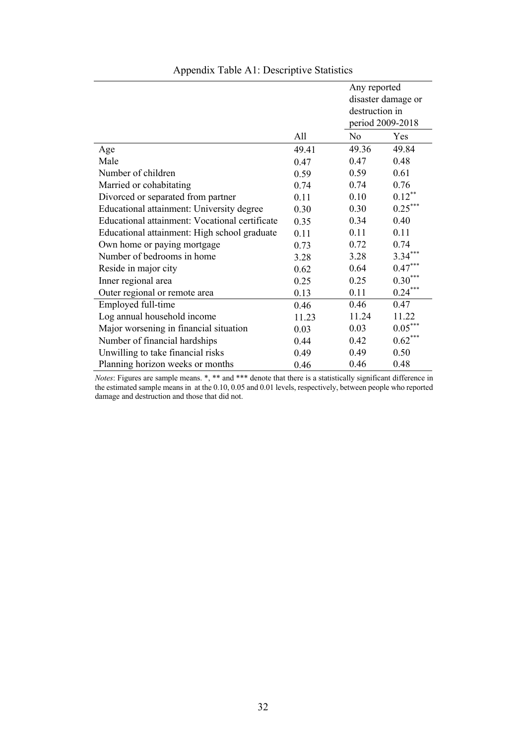|                                                |       | Any reported       |           |
|------------------------------------------------|-------|--------------------|-----------|
|                                                |       | disaster damage or |           |
|                                                |       | destruction in     |           |
|                                                |       | period 2009-2018   |           |
|                                                | All   | $\rm No$           | Yes       |
| Age                                            | 49.41 | 49.36              | 49.84     |
| Male                                           | 0.47  | 0.47               | 0.48      |
| Number of children                             | 0.59  | 0.59               | 0.61      |
| Married or cohabitating                        | 0.74  | 0.74               | 0.76      |
| Divorced or separated from partner             | 0.11  | 0.10               | $0.12***$ |
| Educational attainment: University degree      | 0.30  | 0.30               | $0.25***$ |
| Educational attainment: Vocational certificate | 0.35  | 0.34               | 0.40      |
| Educational attainment: High school graduate   | 0.11  | 0.11               | 0.11      |
| Own home or paying mortgage                    | 0.73  | 0.72               | 0.74      |
| Number of bedrooms in home                     | 3.28  | 3.28               | $3.34***$ |
| Reside in major city                           | 0.62  | 0.64               | $0.47***$ |
| Inner regional area                            | 0.25  | 0.25               | $0.30***$ |
| Outer regional or remote area                  | 0.13  | 0.11               | $0.24***$ |
| Employed full-time                             | 0.46  | 0.46               | 0.47      |
| Log annual household income                    | 11.23 | 11.24              | 11.22     |
| Major worsening in financial situation         | 0.03  | 0.03               | $0.05***$ |
| Number of financial hardships                  | 0.44  | 0.42               | $0.62***$ |
| Unwilling to take financial risks              | 0.49  | 0.49               | 0.50      |
| Planning horizon weeks or months               | 0.46  | 0.46               | 0.48      |

# Appendix Table A1: Descriptive Statistics

*Notes*: Figures are sample means. \*, \*\* and \*\*\* denote that there is a statistically significant difference in the estimated sample means in at the 0.10, 0.05 and 0.01 levels, respectively, between people who reported damage and destruction and those that did not.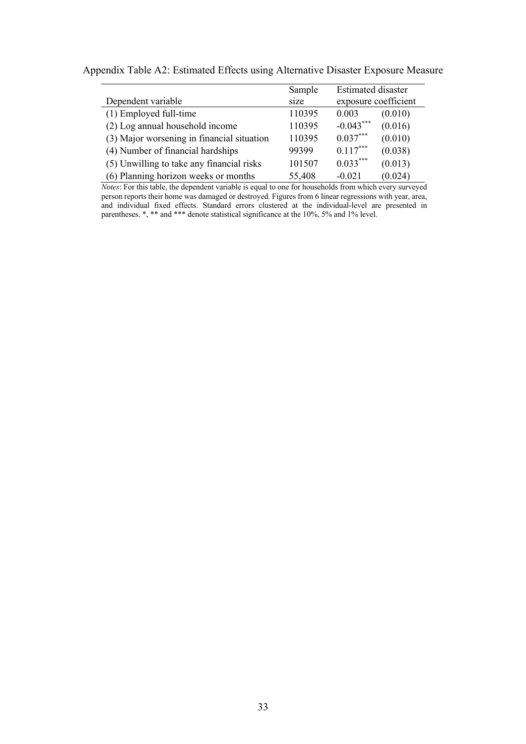|                                            | Sample | Estimated disaster     |  |
|--------------------------------------------|--------|------------------------|--|
| Dependent variable                         | size   | exposure coefficient   |  |
| (1) Employed full-time                     | 110395 | 0.003<br>(0.010)       |  |
| (2) Log annual household income            | 110395 | $-0.043***$<br>(0.016) |  |
| (3) Major worsening in financial situation | 110395 | $0.037***$<br>(0.010)  |  |
| (4) Number of financial hardships          | 99399  | $0.117***$<br>(0.038)  |  |
| (5) Unwilling to take any financial risks  | 101507 | $0.033***$<br>(0.013)  |  |
| (6) Planning horizon weeks or months       | 55,408 | (0.024)<br>$-0.021$    |  |

Appendix Table A2: Estimated Effects using Alternative Disaster Exposure Measure

*Notes*: For this table, the dependent variable is equal to one for households from which every surveyed person reports their home was damaged or destroyed. Figures from 6 linear regressions with year, area, and individual fixed effects. Standard errors clustered at the individual-level are presented in parentheses. \*, \*\* and \*\*\* denote statistical significance at the 10%, 5% and 1% level.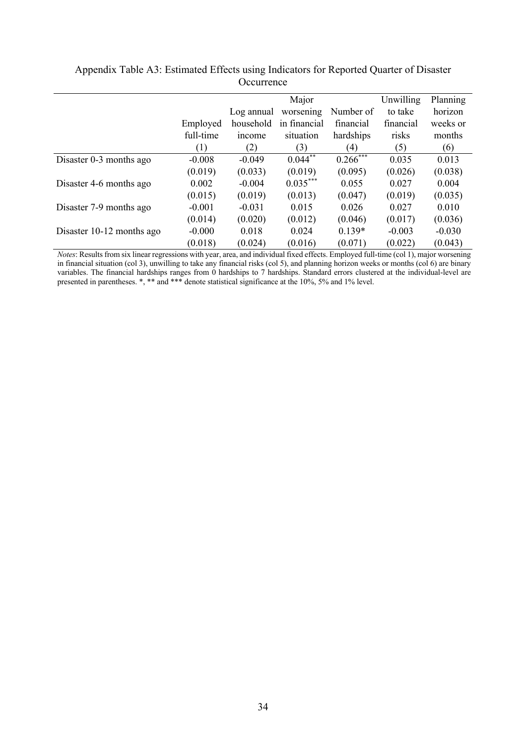|                           |           |              | Major        |                        | Unwilling | Planning |
|---------------------------|-----------|--------------|--------------|------------------------|-----------|----------|
|                           |           | Log annual   | worsening    | Number of              | to take   | horizon  |
|                           | Employed  | household    | in financial | financial              | financial | weeks or |
|                           | full-time | <i>ncome</i> | situation    | hardships              | risks     | months   |
|                           | (1)       | (2)          | (3)          | (4)                    | (5)       | (6)      |
| Disaster 0-3 months ago   | $-0.008$  | $-0.049$     | $0.044***$   | $0.266$ <sup>***</sup> | 0.035     | 0.013    |
|                           | (0.019)   | (0.033)      | (0.019)      | (0.095)                | (0.026)   | (0.038)  |
| Disaster 4-6 months ago   | 0.002     | $-0.004$     | $0.035***$   | 0.055                  | 0.027     | 0.004    |
|                           | (0.015)   | (0.019)      | (0.013)      | (0.047)                | (0.019)   | (0.035)  |
| Disaster 7-9 months ago   | $-0.001$  | $-0.031$     | 0.015        | 0.026                  | 0.027     | 0.010    |
|                           | (0.014)   | (0.020)      | (0.012)      | (0.046)                | (0.017)   | (0.036)  |
| Disaster 10-12 months ago | $-0.000$  | 0.018        | 0.024        | $0.139*$               | $-0.003$  | $-0.030$ |
|                           | (0.018)   | (0.024)      | (0.016)      | (0.071)                | (0.022)   | (0.043)  |

# Appendix Table A3: Estimated Effects using Indicators for Reported Quarter of Disaster **Occurrence**

*Notes*: Results from six linear regressions with year, area, and individual fixed effects. Employed full-time (col 1), major worsening in financial situation (col 3), unwilling to take any financial risks (col 5), and planning horizon weeks or months (col 6) are binary variables. The financial hardships ranges from 0 hardships to 7 hardships. Standard errors clustered at the individual-level are presented in parentheses. \*, \*\* and \*\*\* denote statistical significance at the 10%, 5% and 1% level.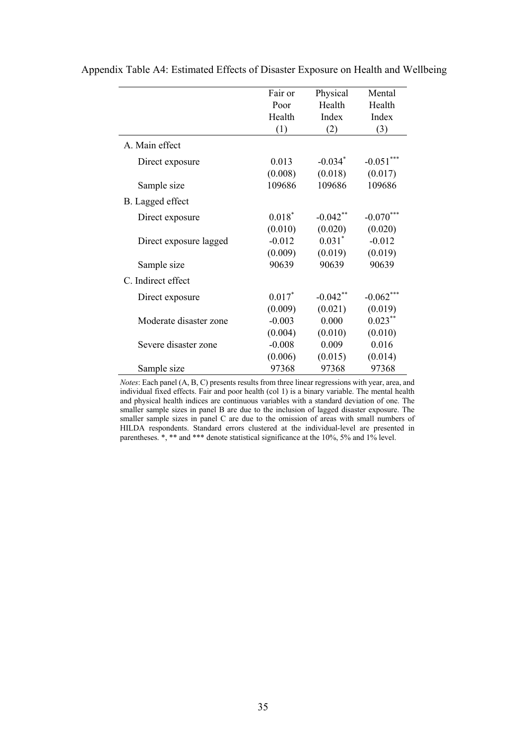|                        | Fair or   | Physical              | Mental      |
|------------------------|-----------|-----------------------|-------------|
|                        | Poor      | Health                | Health      |
|                        | Health    | Index                 | Index       |
|                        | (1)       | (2)                   | (3)         |
| A. Main effect         |           |                       |             |
| Direct exposure        | 0.013     | $-0.034$ <sup>*</sup> | $-0.051***$ |
|                        | (0.008)   | (0.018)               | (0.017)     |
| Sample size            | 109686    | 109686                | 109686      |
| B. Lagged effect       |           |                       |             |
| Direct exposure        | $0.018^*$ | $-0.042$ **           | $-0.070$    |
|                        | (0.010)   | (0.020)               | (0.020)     |
| Direct exposure lagged | $-0.012$  | $0.031*$              | $-0.012$    |
|                        | (0.009)   | (0.019)               | (0.019)     |
| Sample size            | 90639     | 90639                 | 90639       |
| C. Indirect effect     |           |                       |             |
| Direct exposure        | $0.017*$  | $-0.042$ **           | $-0.062***$ |
|                        | (0.009)   | (0.021)               | (0.019)     |
| Moderate disaster zone | $-0.003$  | 0.000                 | $0.023***$  |
|                        | (0.004)   | (0.010)               | (0.010)     |
| Severe disaster zone   | $-0.008$  | 0.009                 | 0.016       |
|                        | (0.006)   | (0.015)               | (0.014)     |
| Sample size            | 97368     | 97368                 | 97368       |

Appendix Table A4: Estimated Effects of Disaster Exposure on Health and Wellbeing

*Notes*: Each panel (A, B, C) presents results from three linear regressions with year, area, and individual fixed effects. Fair and poor health (col 1) is a binary variable. The mental health and physical health indices are continuous variables with a standard deviation of one. The smaller sample sizes in panel B are due to the inclusion of lagged disaster exposure. The smaller sample sizes in panel C are due to the omission of areas with small numbers of HILDA respondents. Standard errors clustered at the individual-level are presented in parentheses. \*, \*\* and \*\*\* denote statistical significance at the 10%, 5% and 1% level.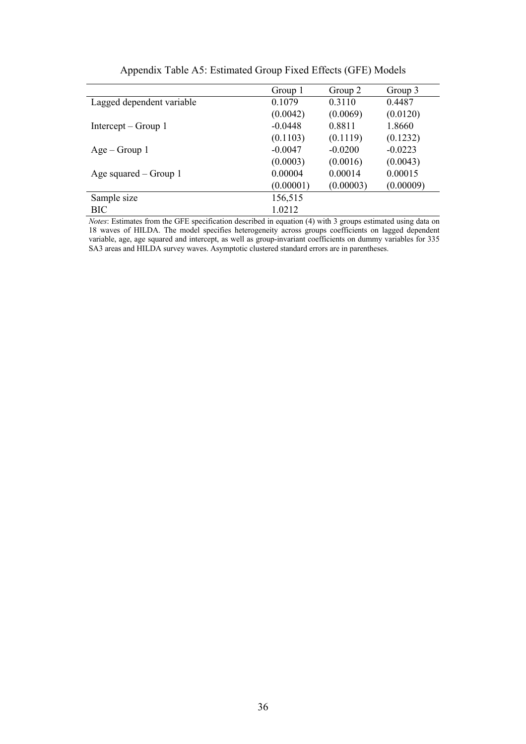|                           | Group 1   | Group 2   | Group 3   |
|---------------------------|-----------|-----------|-----------|
| Lagged dependent variable | 0.1079    | 0.3110    | 0.4487    |
|                           | (0.0042)  | (0.0069)  | (0.0120)  |
| Intercept $-$ Group 1     | $-0.0448$ | 0.8811    | 1.8660    |
|                           | (0.1103)  | (0.1119)  | (0.1232)  |
| $Age - Group 1$           | $-0.0047$ | $-0.0200$ | $-0.0223$ |
|                           | (0.0003)  | (0.0016)  | (0.0043)  |
| Age squared $-$ Group 1   | 0.00004   | 0.00014   | 0.00015   |
|                           | (0.00001) | (0.00003) | (0.00009) |
| Sample size               | 156,515   |           |           |
| <b>BIC</b>                | 1.0212    |           |           |

Appendix Table A5: Estimated Group Fixed Effects (GFE) Models

*Notes*: Estimates from the GFE specification described in equation (4) with 3 groups estimated using data on 18 waves of HILDA. The model specifies heterogeneity across groups coefficients on lagged dependent variable, age, age squared and intercept, as well as group-invariant coefficients on dummy variables for 335 SA3 areas and HILDA survey waves. Asymptotic clustered standard errors are in parentheses.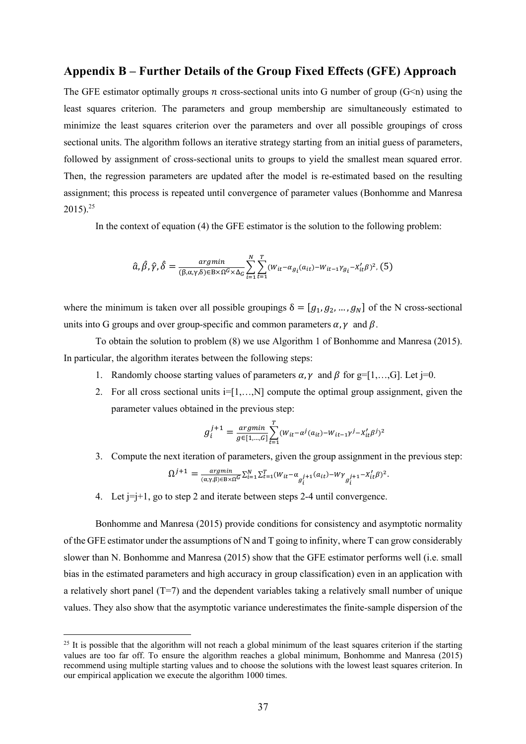# **Appendix B – Further Details of the Group Fixed Effects (GFE) Approach**

The GFE estimator optimally groups *n* cross-sectional units into G number of group ( $G\leq n$ ) using the least squares criterion. The parameters and group membership are simultaneously estimated to minimize the least squares criterion over the parameters and over all possible groupings of cross sectional units. The algorithm follows an iterative strategy starting from an initial guess of parameters, followed by assignment of cross-sectional units to groups to yield the smallest mean squared error. Then, the regression parameters are updated after the model is re-estimated based on the resulting assignment; this process is repeated until convergence of parameter values (Bonhomme and Manresa  $2015$ <sup>25</sup>

In the context of equation (4) the GFE estimator is the solution to the following problem:

$$
\hat{a}, \hat{\beta}, \hat{\gamma}, \hat{\delta} = \frac{argmin}{(\beta, \alpha, \gamma, \delta) \in B \times \Omega^G \times \Delta_G} \sum_{i=1}^N \sum_{t=1}^T (W_{it} - \alpha_{g_i}(a_{it}) - W_{it-1} \gamma_{g_i} - X_{it}' \beta)^2, (5)
$$

where the minimum is taken over all possible groupings  $\delta = [g_1, g_2, ..., g_N]$  of the N cross-sectional units into G groups and over group-specific and common parameters  $\alpha$ ,  $\gamma$  and  $\beta$ .

To obtain the solution to problem (8) we use Algorithm 1 of Bonhomme and Manresa (2015). In particular, the algorithm iterates between the following steps:

- 1. Randomly choose starting values of parameters  $\alpha$ ,  $\gamma$  and  $\beta$  for g=[1,...,G]. Let j=0.
- 2. For all cross sectional units  $i=[1,...,N]$  compute the optimal group assignment, given the parameter values obtained in the previous step:

$$
g_i^{j+1} = \frac{argmin}{g \in [1, ..., G]} \sum_{t=1}^{T} (W_{it} - \alpha^j(a_{it}) - W_{it-1} \gamma^j - X_{it}' \beta^j)^2
$$

3. Compute the next iteration of parameters, given the group assignment in the previous step:

$$
\Omega^{j+1} = \frac{argmin}{(\alpha, \gamma, \beta) \in B \times \Omega^G} \sum_{i=1}^N \sum_{t=1}^T (W_{it} - \alpha_{g_i^{j+1}}(a_{it}) - W\gamma_{g_i^{j+1}} - X_{it}^{\prime}\beta)^2.
$$

4. Let  $j=j+1$ , go to step 2 and iterate between steps 2-4 until convergence.

Bonhomme and Manresa (2015) provide conditions for consistency and asymptotic normality of the GFE estimator under the assumptions of N and T going to infinity, where T can grow considerably slower than N. Bonhomme and Manresa (2015) show that the GFE estimator performs well (i.e. small bias in the estimated parameters and high accuracy in group classification) even in an application with a relatively short panel (T=7) and the dependent variables taking a relatively small number of unique values. They also show that the asymptotic variance underestimates the finite-sample dispersion of the

<sup>&</sup>lt;sup>25</sup> It is possible that the algorithm will not reach a global minimum of the least squares criterion if the starting values are too far off. To ensure the algorithm reaches a global minimum, Bonhomme and Manresa (2015) recommend using multiple starting values and to choose the solutions with the lowest least squares criterion. In our empirical application we execute the algorithm 1000 times.